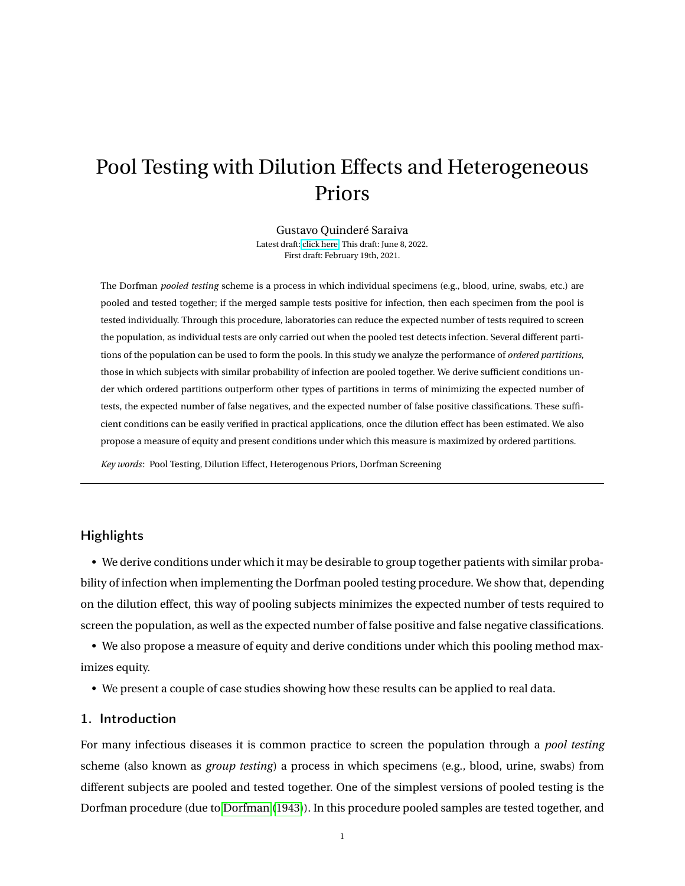# <span id="page-0-0"></span>Pool Testing with Dilution Effects and Heterogeneous Priors

Gustavo Quinderé Saraiva Latest draft: [click here.](https://gustavoqsaraiva.com/Pool_testing_dilution_effect_het_priors.pdf) This draft: June 8, 2022. First draft: February 19th, 2021.

The Dorfman *pooled testing* scheme is a process in which individual specimens (e.g., blood, urine, swabs, etc.) are pooled and tested together; if the merged sample tests positive for infection, then each specimen from the pool is tested individually. Through this procedure, laboratories can reduce the expected number of tests required to screen the population, as individual tests are only carried out when the pooled test detects infection. Several different partitions of the population can be used to form the pools. In this study we analyze the performance of *ordered partitions*, those in which subjects with similar probability of infection are pooled together. We derive sufficient conditions under which ordered partitions outperform other types of partitions in terms of minimizing the expected number of tests, the expected number of false negatives, and the expected number of false positive classifications. These sufficient conditions can be easily verified in practical applications, once the dilution effect has been estimated. We also propose a measure of equity and present conditions under which this measure is maximized by ordered partitions.

*Key words*: Pool Testing, Dilution Effect, Heterogenous Priors, Dorfman Screening

## **Highlights**

• We derive conditions under which it may be desirable to group together patients with similar probability of infection when implementing the Dorfman pooled testing procedure. We show that, depending on the dilution effect, this way of pooling subjects minimizes the expected number of tests required to screen the population, as well as the expected number of false positive and false negative classifications.

• We also propose a measure of equity and derive conditions under which this pooling method maximizes equity.

• We present a couple of case studies showing how these results can be applied to real data.

#### 1. Introduction

For many infectious diseases it is common practice to screen the population through a *pool testing* scheme (also known as *group testing*) a process in which specimens (e.g., blood, urine, swabs) from different subjects are pooled and tested together. One of the simplest versions of pooled testing is the Dorfman procedure (due to [Dorfman](#page-27-0) [\(1943\)](#page-27-0)). In this procedure pooled samples are tested together, and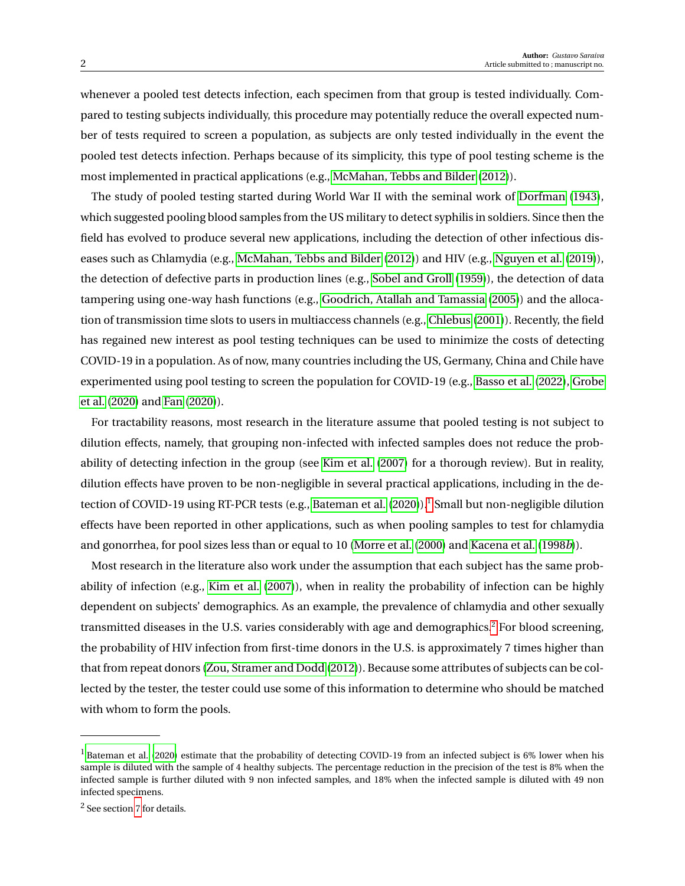whenever a pooled test detects infection, each specimen from that group is tested individually. Compared to testing subjects individually, this procedure may potentially reduce the overall expected number of tests required to screen a population, as subjects are only tested individually in the event the pooled test detects infection. Perhaps because of its simplicity, this type of pool testing scheme is the most implemented in practical applications (e.g., [McMahan, Tebbs and Bilder](#page-27-1) [\(2012\)](#page-27-1)).

The study of pooled testing started during World War II with the seminal work of [Dorfman](#page-27-0) [\(1943\)](#page-27-0), which suggested pooling blood samples from the US military to detect syphilis in soldiers. Since then the field has evolved to produce several new applications, including the detection of other infectious diseases such as Chlamydia (e.g., [McMahan, Tebbs and Bilder](#page-27-1) [\(2012\)](#page-27-1)) and HIV (e.g., [Nguyen et al.](#page-28-0) [\(2019\)](#page-28-0)), the detection of defective parts in production lines (e.g., [Sobel and Groll](#page-28-1) [\(1959\)](#page-28-1)), the detection of data tampering using one-way hash functions (e.g., [Goodrich, Atallah and Tamassia](#page-27-2) [\(2005\)](#page-27-2)) and the allocation of transmission time slots to users in multiaccess channels (e.g., [Chlebus](#page-27-3) [\(2001\)](#page-27-3)). Recently, the field has regained new interest as pool testing techniques can be used to minimize the costs of detecting COVID-19 in a population. As of now, many countries including the US, Germany, China and Chile have experimented using pool testing to screen the population for COVID-19 (e.g., [Basso et al.](#page-26-0) [\(2022\)](#page-26-0), [Grobe](#page-27-4) [et al.](#page-27-4) [\(2020\)](#page-27-4) and [Fan](#page-27-5) [\(2020\)](#page-27-5)).

For tractability reasons, most research in the literature assume that pooled testing is not subject to dilution effects, namely, that grouping non-infected with infected samples does not reduce the probability of detecting infection in the group (see [Kim et al.](#page-27-6) [\(2007\)](#page-27-6) for a thorough review). But in reality, dilution effects have proven to be non-negligible in several practical applications, including in the de-tection of COVID-19 using RT-PCR tests (e.g., [Bateman et al.](#page-26-1) [\(2020\)](#page-26-1)).<sup>[1](#page-1-0)</sup> Small but non-negligible dilution effects have been reported in other applications, such as when pooling samples to test for chlamydia and gonorrhea, for pool sizes less than or equal to 10 [\(Morre et al.](#page-28-2) [\(2000\)](#page-28-2) and [Kacena et al.](#page-27-7) [\(1998](#page-27-7)*b*)).

Most research in the literature also work under the assumption that each subject has the same probability of infection (e.g., [Kim et al.](#page-27-6) [\(2007\)](#page-27-6)), when in reality the probability of infection can be highly dependent on subjects' demographics. As an example, the prevalence of chlamydia and other sexually transmitted diseases in the U.S. varies considerably with age and demographics.<sup>[2](#page-1-1)</sup> For blood screening, the probability of HIV infection from first-time donors in the U.S. is approximately 7 times higher than that from repeat donors [\(Zou, Stramer and Dodd](#page-28-3) [\(2012\)](#page-28-3)). Because some attributes of subjects can be collected by the tester, the tester could use some of this information to determine who should be matched with whom to form the pools.

<span id="page-1-0"></span> $<sup>1</sup>$  [Bateman et al.](#page-26-1) [\(2020\)](#page-26-1) estimate that the probability of detecting COVID-19 from an infected subject is 6% lower when his</sup> sample is diluted with the sample of 4 healthy subjects. The percentage reduction in the precision of the test is 8% when the infected sample is further diluted with 9 non infected samples, and 18% when the infected sample is diluted with 49 non infected specimens.

<span id="page-1-1"></span><sup>2</sup> See section [7](#page-16-0) for details.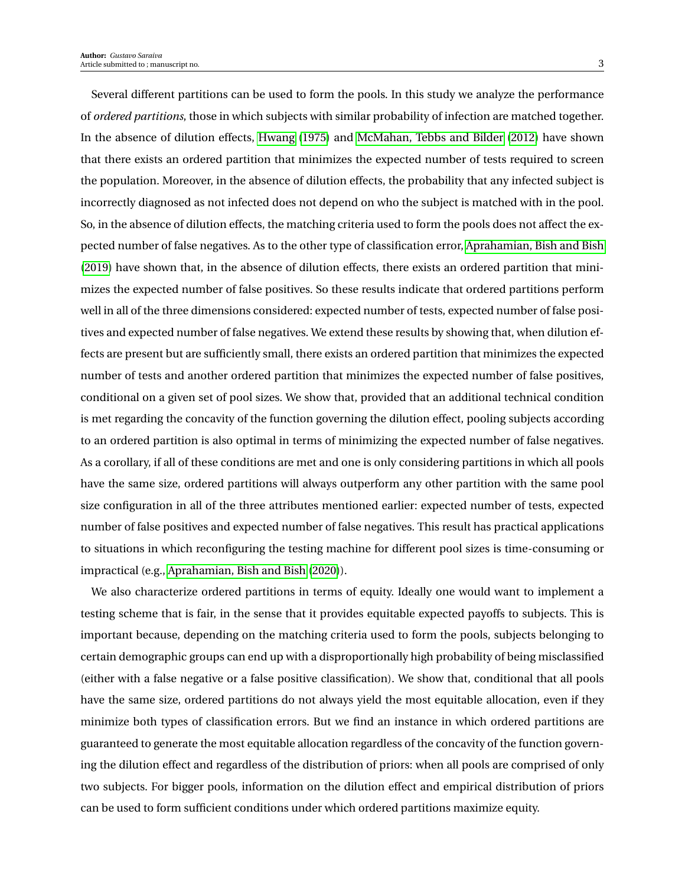Several different partitions can be used to form the pools. In this study we analyze the performance of *ordered partitions*, those in which subjects with similar probability of infection are matched together. In the absence of dilution effects, [Hwang](#page-27-8) [\(1975\)](#page-27-8) and [McMahan, Tebbs and Bilder](#page-27-1) [\(2012\)](#page-27-1) have shown that there exists an ordered partition that minimizes the expected number of tests required to screen the population. Moreover, in the absence of dilution effects, the probability that any infected subject is incorrectly diagnosed as not infected does not depend on who the subject is matched with in the pool. So, in the absence of dilution effects, the matching criteria used to form the pools does not affect the expected number of false negatives. As to the other type of classification error, [Aprahamian, Bish and Bish](#page-26-2) [\(2019\)](#page-26-2) have shown that, in the absence of dilution effects, there exists an ordered partition that minimizes the expected number of false positives. So these results indicate that ordered partitions perform well in all of the three dimensions considered: expected number of tests, expected number of false positives and expected number of false negatives. We extend these results by showing that, when dilution effects are present but are sufficiently small, there exists an ordered partition that minimizes the expected number of tests and another ordered partition that minimizes the expected number of false positives, conditional on a given set of pool sizes. We show that, provided that an additional technical condition is met regarding the concavity of the function governing the dilution effect, pooling subjects according to an ordered partition is also optimal in terms of minimizing the expected number of false negatives. As a corollary, if all of these conditions are met and one is only considering partitions in which all pools have the same size, ordered partitions will always outperform any other partition with the same pool size configuration in all of the three attributes mentioned earlier: expected number of tests, expected number of false positives and expected number of false negatives. This result has practical applications to situations in which reconfiguring the testing machine for different pool sizes is time-consuming or impractical (e.g., [Aprahamian, Bish and Bish](#page-26-3) [\(2020\)](#page-26-3)).

We also characterize ordered partitions in terms of equity. Ideally one would want to implement a testing scheme that is fair, in the sense that it provides equitable expected payoffs to subjects. This is important because, depending on the matching criteria used to form the pools, subjects belonging to certain demographic groups can end up with a disproportionally high probability of being misclassified (either with a false negative or a false positive classification). We show that, conditional that all pools have the same size, ordered partitions do not always yield the most equitable allocation, even if they minimize both types of classification errors. But we find an instance in which ordered partitions are guaranteed to generate the most equitable allocation regardless of the concavity of the function governing the dilution effect and regardless of the distribution of priors: when all pools are comprised of only two subjects. For bigger pools, information on the dilution effect and empirical distribution of priors can be used to form sufficient conditions under which ordered partitions maximize equity.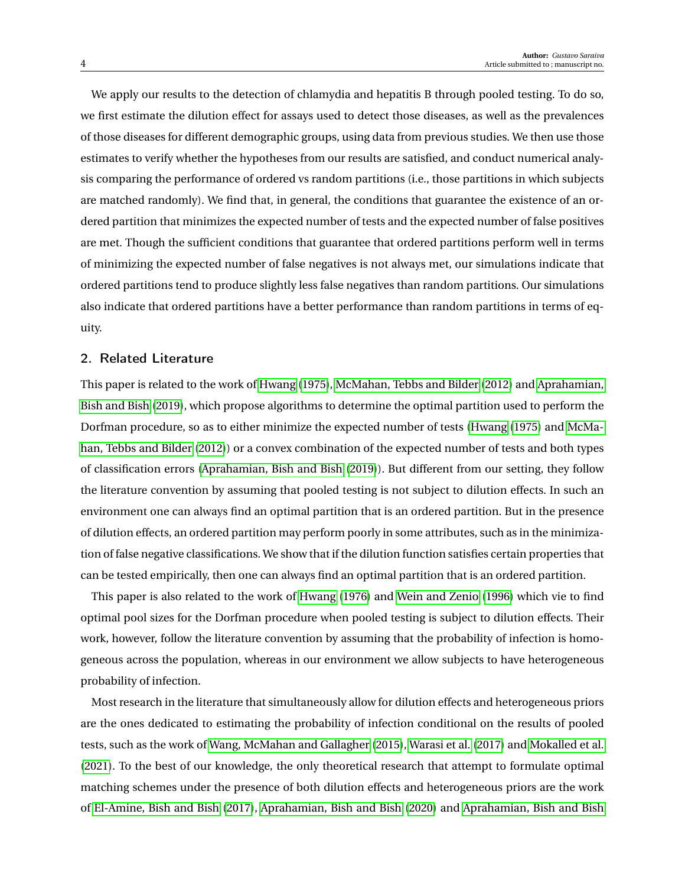We apply our results to the detection of chlamydia and hepatitis B through pooled testing. To do so, we first estimate the dilution effect for assays used to detect those diseases, as well as the prevalences of those diseases for different demographic groups, using data from previous studies. We then use those estimates to verify whether the hypotheses from our results are satisfied, and conduct numerical analysis comparing the performance of ordered vs random partitions (i.e., those partitions in which subjects are matched randomly). We find that, in general, the conditions that guarantee the existence of an ordered partition that minimizes the expected number of tests and the expected number of false positives are met. Though the sufficient conditions that guarantee that ordered partitions perform well in terms of minimizing the expected number of false negatives is not always met, our simulations indicate that ordered partitions tend to produce slightly less false negatives than random partitions. Our simulations also indicate that ordered partitions have a better performance than random partitions in terms of equity.

## <span id="page-3-0"></span>2. Related Literature

This paper is related to the work of [Hwang](#page-27-8) [\(1975\)](#page-27-8), [McMahan, Tebbs and Bilder](#page-27-1) [\(2012\)](#page-27-1) and [Aprahamian,](#page-26-2) [Bish and Bish](#page-26-2) [\(2019\)](#page-26-2), which propose algorithms to determine the optimal partition used to perform the Dorfman procedure, so as to either minimize the expected number of tests [\(Hwang](#page-27-8) [\(1975\)](#page-27-8) and [McMa](#page-27-1)[han, Tebbs and Bilder](#page-27-1) [\(2012\)](#page-27-1)) or a convex combination of the expected number of tests and both types of classification errors [\(Aprahamian, Bish and Bish](#page-26-2) [\(2019\)](#page-26-2)). But different from our setting, they follow the literature convention by assuming that pooled testing is not subject to dilution effects. In such an environment one can always find an optimal partition that is an ordered partition. But in the presence of dilution effects, an ordered partition may perform poorly in some attributes, such as in the minimization of false negative classifications. We show that if the dilution function satisfies certain properties that can be tested empirically, then one can always find an optimal partition that is an ordered partition.

This paper is also related to the work of [Hwang](#page-27-9) [\(1976\)](#page-27-9) and [Wein and Zenio](#page-28-4) [\(1996\)](#page-28-4) which vie to find optimal pool sizes for the Dorfman procedure when pooled testing is subject to dilution effects. Their work, however, follow the literature convention by assuming that the probability of infection is homogeneous across the population, whereas in our environment we allow subjects to have heterogeneous probability of infection.

Most research in the literature that simultaneously allow for dilution effects and heterogeneous priors are the ones dedicated to estimating the probability of infection conditional on the results of pooled tests, such as the work of [Wang, McMahan and Gallagher](#page-28-5) [\(2015\)](#page-28-5), [Warasi et al.](#page-28-6) [\(2017\)](#page-28-6) and [Mokalled et al.](#page-28-7) [\(2021\)](#page-28-7). To the best of our knowledge, the only theoretical research that attempt to formulate optimal matching schemes under the presence of both dilution effects and heterogeneous priors are the work of [El-Amine, Bish and Bish](#page-27-10) [\(2017\)](#page-27-10), [Aprahamian, Bish and Bish](#page-26-3) [\(2020\)](#page-26-3) and [Aprahamian, Bish and Bish](#page-26-4)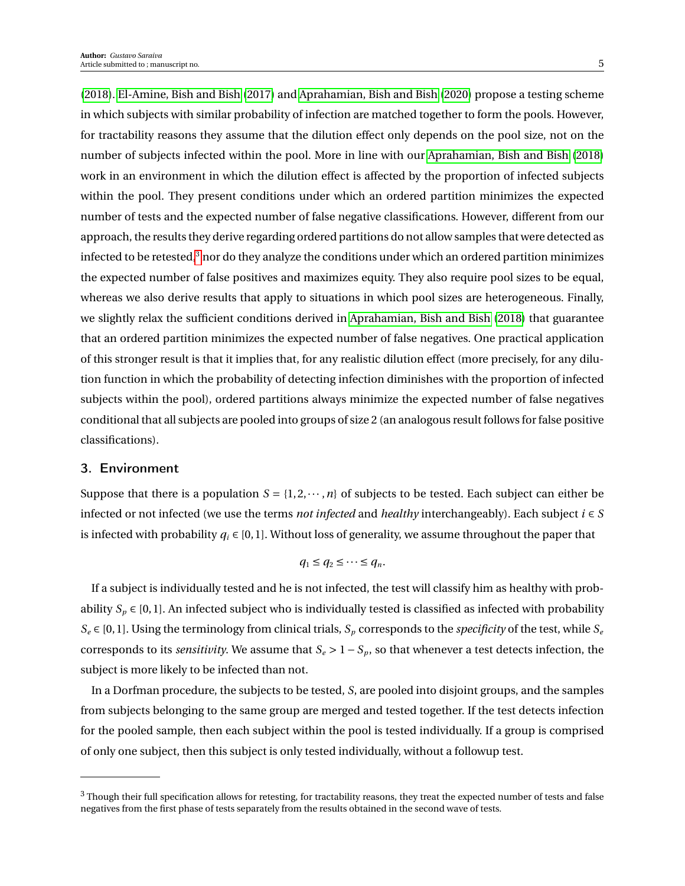[\(2018\)](#page-26-4). [El-Amine, Bish and Bish](#page-27-10) [\(2017\)](#page-27-10) and [Aprahamian, Bish and Bish](#page-26-3) [\(2020\)](#page-26-3) propose a testing scheme in which subjects with similar probability of infection are matched together to form the pools. However, for tractability reasons they assume that the dilution effect only depends on the pool size, not on the number of subjects infected within the pool. More in line with our [Aprahamian, Bish and Bish](#page-26-4) [\(2018\)](#page-26-4) work in an environment in which the dilution effect is affected by the proportion of infected subjects within the pool. They present conditions under which an ordered partition minimizes the expected number of tests and the expected number of false negative classifications. However, different from our approach, the results they derive regarding ordered partitions do not allow samples that were detected as infected to be retested, $3$  nor do they analyze the conditions under which an ordered partition minimizes the expected number of false positives and maximizes equity. They also require pool sizes to be equal, whereas we also derive results that apply to situations in which pool sizes are heterogeneous. Finally, we slightly relax the sufficient conditions derived in [Aprahamian, Bish and Bish](#page-26-4) [\(2018\)](#page-26-4) that guarantee that an ordered partition minimizes the expected number of false negatives. One practical application of this stronger result is that it implies that, for any realistic dilution effect (more precisely, for any dilution function in which the probability of detecting infection diminishes with the proportion of infected subjects within the pool), ordered partitions always minimize the expected number of false negatives conditional that all subjects are pooled into groups of size 2 (an analogous result follows for false positive classifications).

# 3. Environment

Suppose that there is a population  $S = \{1, 2, \dots, n\}$  of subjects to be tested. Each subject can either be infected or not infected (we use the terms *not infected* and *healthy* interchangeably). Each subject  $i \in S$ is infected with probability  $q_i \in [0, 1]$ . Without loss of generality, we assume throughout the paper that

$$
q_1 \leq q_2 \leq \cdots \leq q_n.
$$

If a subject is individually tested and he is not infected, the test will classify him as healthy with probability  $S_p \in [0,1]$ . An infected subject who is individually tested is classified as infected with probability  $S_e \in [0, 1]$ . Using the terminology from clinical trials,  $S_p$  corresponds to the *specificity* of the test, while  $S_e$ corresponds to its *sensitivity*. We assume that  $S_e > 1 - S_p$ , so that whenever a test detects infection, the subject is more likely to be infected than not.

In a Dorfman procedure, the subjects to be tested, *S*, are pooled into disjoint groups, and the samples from subjects belonging to the same group are merged and tested together. If the test detects infection for the pooled sample, then each subject within the pool is tested individually. If a group is comprised of only one subject, then this subject is only tested individually, without a followup test.

<span id="page-4-0"></span><sup>&</sup>lt;sup>3</sup> Though their full specification allows for retesting, for tractability reasons, they treat the expected number of tests and false negatives from the first phase of tests separately from the results obtained in the second wave of tests.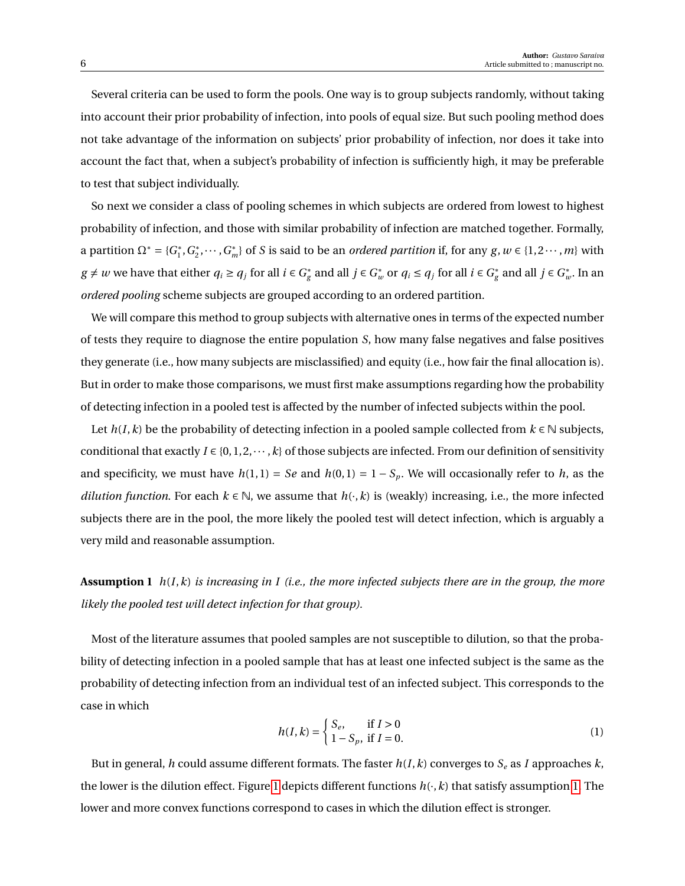Several criteria can be used to form the pools. One way is to group subjects randomly, without taking into account their prior probability of infection, into pools of equal size. But such pooling method does not take advantage of the information on subjects' prior probability of infection, nor does it take into account the fact that, when a subject's probability of infection is sufficiently high, it may be preferable to test that subject individually.

So next we consider a class of pooling schemes in which subjects are ordered from lowest to highest probability of infection, and those with similar probability of infection are matched together. Formally, a partition  $\Omega^* = \{G_1^*\}$  $i_1^*, G_2^*$  $C_2^*, \dots, G_m^*$  of *S* is said to be an *ordered partition* if, for any  $g, w \in \{1, 2 \dots, m\}$  with  $g \neq w$  we have that either  $q_i \geq q_j$  for all  $i \in G_g^*$ *g*<sup> $*$ </sup> and all *j* ∈ *G*<sup> $*$ </sup><sub>*w*</sub> or *q<sub>i</sub>* ≤ *q<sub>j</sub>* for all *i* ∈ *G*<sup> $*$ </sup><sub>*g*</sub>  $g$ <sup>\*</sup></sup> and all *j* ∈  $G_u^*$  $_w^*$ . In an *ordered pooling* scheme subjects are grouped according to an ordered partition.

We will compare this method to group subjects with alternative ones in terms of the expected number of tests they require to diagnose the entire population *S*, how many false negatives and false positives they generate (i.e., how many subjects are misclassified) and equity (i.e., how fair the final allocation is). But in order to make those comparisons, we must first make assumptions regarding how the probability of detecting infection in a pooled test is affected by the number of infected subjects within the pool.

Let  $h(I, k)$  be the probability of detecting infection in a pooled sample collected from  $k \in \mathbb{N}$  subjects, conditional that exactly  $I \in \{0, 1, 2, \dots, k\}$  of those subjects are infected. From our definition of sensitivity and specificity, we must have  $h(1, 1) = Se$  and  $h(0, 1) = 1 - S_p$ . We will occasionally refer to *h*, as the *dilution function*. For each  $k \in \mathbb{N}$ , we assume that  $h(\cdot, k)$  is (weakly) increasing, i.e., the more infected subjects there are in the pool, the more likely the pooled test will detect infection, which is arguably a very mild and reasonable assumption.

<span id="page-5-0"></span>**Assumption 1** *h*(*I*,*k*) *is increasing in I (i.e., the more infected subjects there are in the group, the more likely the pooled test will detect infection for that group).*

Most of the literature assumes that pooled samples are not susceptible to dilution, so that the probability of detecting infection in a pooled sample that has at least one infected subject is the same as the probability of detecting infection from an individual test of an infected subject. This corresponds to the case in which

$$
h(I,k) = \begin{cases} S_e, & \text{if } I > 0\\ 1 - S_p, & \text{if } I = 0. \end{cases}
$$
 (1)

But in general, *h* could assume different formats. The faster  $h(I, k)$  converges to  $S_e$  as *I* approaches  $k$ , the lower is the dilution effect. Figure [1](#page-6-0) depicts different functions  $h(\cdot, k)$  that satisfy assumption [1.](#page-5-0) The lower and more convex functions correspond to cases in which the dilution effect is stronger.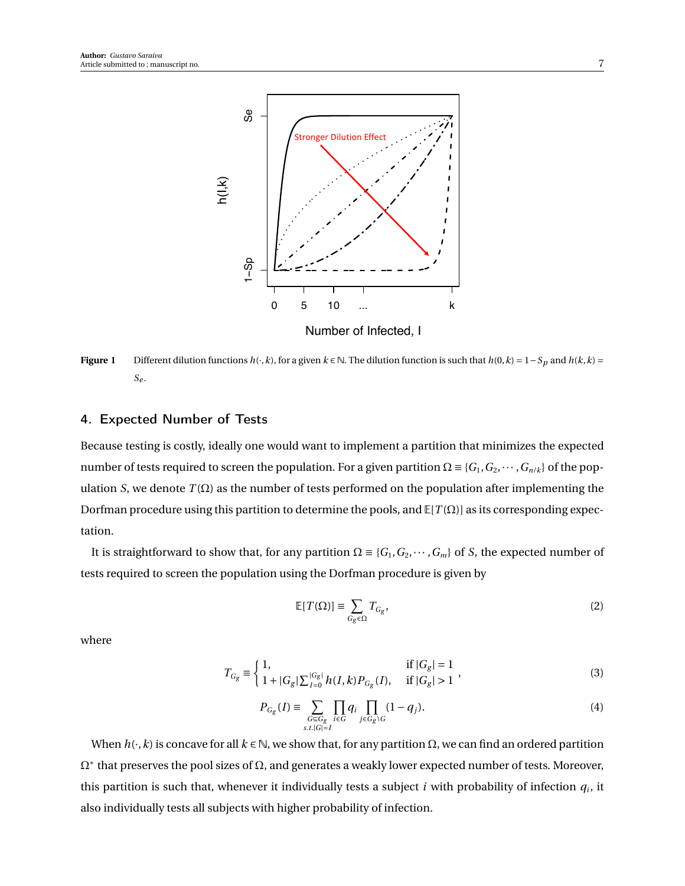<span id="page-6-0"></span>

**Figure 1** Different dilution functions *h*( $\cdot$ ,  $k$ ), for a given  $k \in \mathbb{N}$ . The dilution function is such that *h*(0,  $k$ ) = 1−*S*<sub>*p*</sub> and *h*( $k$ ,  $k$ ) = *Se* .

## 4. Expected Number of Tests

Because testing is costly, ideally one would want to implement a partition that minimizes the expected number of tests required to screen the population. For a given partition  $\Omega \equiv \{G_1, G_2, \dots, G_{n/k}\}\$  of the population *S*, we denote *T*( $Ω$ ) as the number of tests performed on the population after implementing the Dorfman procedure using this partition to determine the pools, and E[*T* (Ω)] as its corresponding expectation.

It is straightforward to show that, for any partition  $\Omega = \{G_1, G_2, \dots, G_m\}$  of *S*, the expected number of tests required to screen the population using the Dorfman procedure is given by

$$
\mathbb{E}[T(\Omega)] \equiv \sum_{G_g \in \Omega} T_{G_g},\tag{2}
$$

where

$$
T_{G_g} \equiv \begin{cases} 1, & \text{if } |G_g| = 1 \\ 1 + |G_g| \sum_{I=0}^{|G_g|} h(I, k) P_{G_g}(I), & \text{if } |G_g| > 1 \end{cases}
$$
(3)

<span id="page-6-2"></span>
$$
P_{G_g}(I) \equiv \sum_{\substack{G \subseteq G_g \\ s.t. |G| = I}} \prod_{i \in G} q_i \prod_{j \in G_g \setminus G} (1 - q_j). \tag{4}
$$

<span id="page-6-1"></span>When  $h(\cdot, k)$  is concave for all  $k \in \mathbb{N}$ , we show that, for any partition  $\Omega$ , we can find an ordered partition  $\Omega^*$  that preserves the pool sizes of  $\Omega$ , and generates a weakly lower expected number of tests. Moreover, this partition is such that, whenever it individually tests a subject  $i$  with probability of infection  $q_i$ , it also individually tests all subjects with higher probability of infection.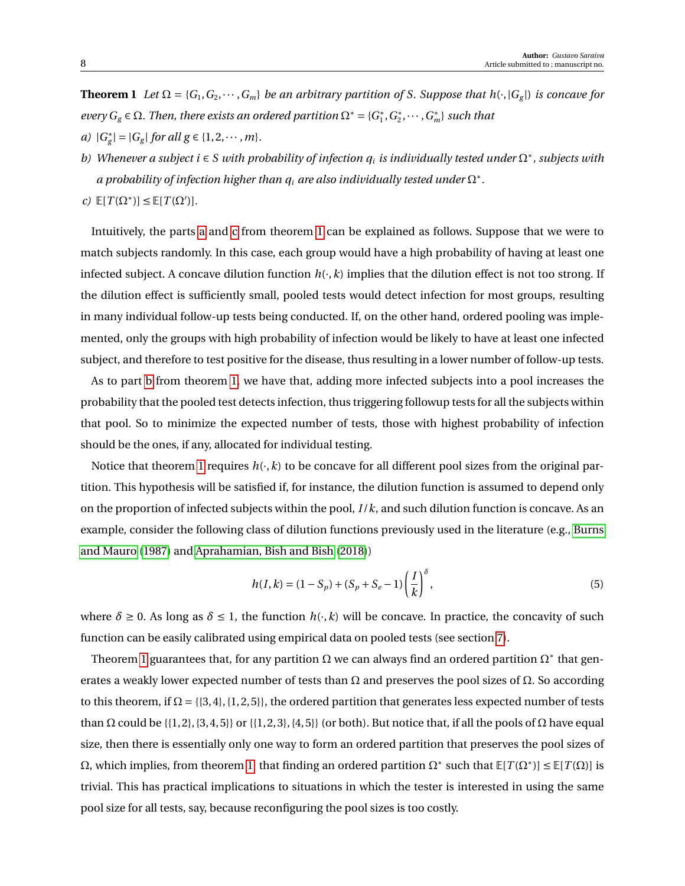**Theorem 1** *Let*  $\Omega = \{G_1, G_2, \dots, G_m\}$  *be an arbitrary partition of S. Suppose that*  $h(\cdot, |G_g|)$  *is concave for every*  $G_g \in \Omega$ . Then, there exists an ordered partition  $\Omega^* = \{G_1^*\}$ 1 ,*G* ∗  $C_2^*, \cdots, G_m^*$  *such that a)* |*G* ∗  $|g| = |G_g|$  *for all*  $g \in \{1, 2, \dots, m\}.$ 

- <span id="page-7-2"></span><span id="page-7-0"></span>*b) Whenever a subject i* ∈ *S with probability of infection q<sup>i</sup> is individually tested under* Ω<sup>∗</sup> *, subjects with*  $a$  probability of infection higher than  $q_i$  are also individually tested under  $\Omega^*$  .
- <span id="page-7-1"></span> $c)$   $\mathbb{E}[T(\Omega^*)] \leq \mathbb{E}[T(\Omega')]$ .

Intuitively, the parts [a](#page-7-0) and [c](#page-7-1) from theorem [1](#page-6-1) can be explained as follows. Suppose that we were to match subjects randomly. In this case, each group would have a high probability of having at least one infected subject. A concave dilution function  $h(\cdot, k)$  implies that the dilution effect is not too strong. If the dilution effect is sufficiently small, pooled tests would detect infection for most groups, resulting in many individual follow-up tests being conducted. If, on the other hand, ordered pooling was implemented, only the groups with high probability of infection would be likely to have at least one infected subject, and therefore to test positive for the disease, thus resulting in a lower number of follow-up tests.

As to part [b](#page-7-2) from theorem [1,](#page-6-1) we have that, adding more infected subjects into a pool increases the probability that the pooled test detects infection, thus triggering followup tests for all the subjects within that pool. So to minimize the expected number of tests, those with highest probability of infection should be the ones, if any, allocated for individual testing.

Notice that theorem [1](#page-6-1) requires  $h(\cdot, k)$  to be concave for all different pool sizes from the original partition. This hypothesis will be satisfied if, for instance, the dilution function is assumed to depend only on the proportion of infected subjects within the pool, *I* /*k*, and such dilution function is concave. As an example, consider the following class of dilution functions previously used in the literature (e.g., [Burns](#page-26-5) [and Mauro](#page-26-5) [\(1987\)](#page-26-5) and [Aprahamian, Bish and Bish](#page-26-4) [\(2018\)](#page-26-4))

<span id="page-7-3"></span>
$$
h(I,k) = (1 - S_p) + (S_p + S_e - 1) \left(\frac{I}{k}\right)^{\delta},
$$
\n(5)

where  $\delta \ge 0$ . As long as  $\delta \le 1$ , the function  $h(\cdot, k)$  will be concave. In practice, the concavity of such function can be easily calibrated using empirical data on pooled tests (see section [7\)](#page-16-0).

<span id="page-7-4"></span>Theorem [1](#page-6-1) guarantees that, for any partition  $\Omega$  we can always find an ordered partition  $\Omega^*$  that generates a weakly lower expected number of tests than  $\Omega$  and preserves the pool sizes of  $\Omega$ . So according to this theorem, if  $\Omega = \{\{3, 4\}, \{1, 2, 5\}\}\$ , the ordered partition that generates less expected number of tests than  $\Omega$  could be {{1, 2}, {3, 4, 5}} or {{1, 2, 3}, {4, 5}} (or both). But notice that, if all the pools of  $\Omega$  have equal size, then there is essentially only one way to form an ordered partition that preserves the pool sizes of  $Ω$ , which implies, from theorem [1,](#page-6-1) that finding an ordered partition  $Ω^*$  such that  $E[T(Ω^*)] ≤ E[T(Ω)]$  is trivial. This has practical implications to situations in which the tester is interested in using the same pool size for all tests, say, because reconfiguring the pool sizes is too costly.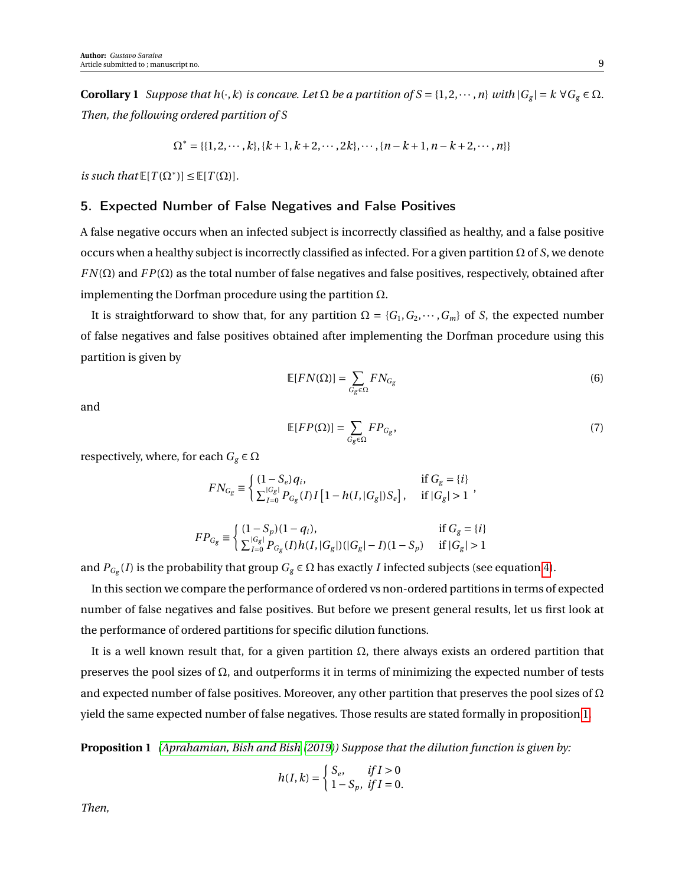**Corollary 1** *Suppose that*  $h(\cdot, k)$  *is concave. Let*  $\Omega$  *be a partition of*  $S = \{1, 2, \dots, n\}$  *with*  $|G_g| = k \ \forall G_g \in \Omega$ *. Then, the following ordered partition of S*

$$
\Omega^* = \{ \{1, 2, \cdots, k\}, \{k+1, k+2, \cdots, 2k\}, \cdots, \{n-k+1, n-k+2, \cdots, n\} \}
$$

*is such that*  $\mathbb{E}[T(\Omega^*)] \leq \mathbb{E}[T(\Omega)].$ 

## 5. Expected Number of False Negatives and False Positives

A false negative occurs when an infected subject is incorrectly classified as healthy, and a false positive occurs when a healthy subject is incorrectly classified as infected. For a given partition Ω of *S*, we denote *FN*( $\Omega$ ) and *FP*( $\Omega$ ) as the total number of false negatives and false positives, respectively, obtained after implementing the Dorfman procedure using the partition  $\Omega$ .

It is straightforward to show that, for any partition  $\Omega = \{G_1, G_2, \dots, G_m\}$  of *S*, the expected number of false negatives and false positives obtained after implementing the Dorfman procedure using this partition is given by

$$
\mathbb{E}[FN(\Omega)] = \sum_{G_g \in \Omega} FN_{G_g} \tag{6}
$$

and

$$
\mathbb{E}[FP(\Omega)] = \sum_{G_g \in \Omega} FP_{G_g},\tag{7}
$$

respectively, where, for each  $G_g \in \Omega$ 

$$
FN_{G_g} \equiv \begin{cases} (1 - S_e) q_i, & \text{if } G_g = \{i\} \\ \sum_{I=0}^{|G_g|} P_{G_g}(I) I [1 - h(I, |G_g|) S_e], & \text{if } |G_g| > 1 \end{cases},
$$

$$
FP_{G_g} \equiv \left\{ \begin{array}{ll} (1-S_p)(1-q_i), & \text{if $G_g = \{i\}$} \\ \sum_{I=0}^{|G_g|} P_{G_g}(I)h(I,|G_g|)(|G_g|-I)(1-S_p) & \text{if $|G_g|>1$} \end{array} \right.
$$

and  $P_{G_g}(I)$  is the probability that group  $G_g \in \Omega$  has exactly *I* infected subjects (see equation [4\)](#page-6-2).

In this section we compare the performance of ordered vs non-ordered partitions in terms of expected number of false negatives and false positives. But before we present general results, let us first look at the performance of ordered partitions for specific dilution functions.

It is a well known result that, for a given partition  $Ω$ , there always exists an ordered partition that preserves the pool sizes of Ω, and outperforms it in terms of minimizing the expected number of tests and expected number of false positives. Moreover, any other partition that preserves the pool sizes of  $\Omega$ yield the same expected number of false negatives. Those results are stated formally in proposition [1.](#page-8-0)

**Proposition 1** *[\(Aprahamian, Bish and Bish](#page-26-2) [\(2019\)](#page-26-2)) Suppose that the dilution function is given by:*

<span id="page-8-0"></span>
$$
h(I,k) = \begin{cases} S_e, & \text{if } I > 0 \\ 1 - S_p, & \text{if } I = 0. \end{cases}
$$

*Then,*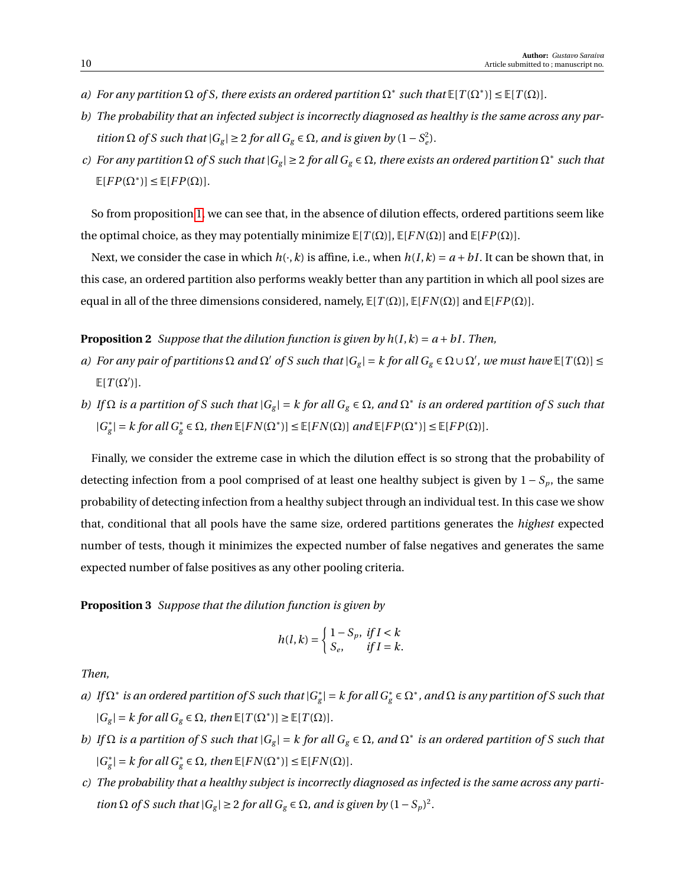- *a*) For any partition  $\Omega$  of S, there exists an ordered partition  $\Omega^*$  such that  $\mathbb{E}[T(\Omega^*)] \leq \mathbb{E}[T(\Omega)]$ .
- *b) The probability that an infected subject is incorrectly diagnosed as healthy is the same across any partition*  $\Omega$  *of S* such that  $|G_g| \geq 2$  for all  $G_g \in \Omega$ , and is given by  $(1 - S_e^2)$ *.*
- *c*) For any partition  $\Omega$  of S such that  $|G_g| \geq 2$  for all  $G_g \in \Omega$ , there exists an ordered partition  $\Omega^*$  such that  $\mathbb{E}[FP(\Omega^*)] \leq \mathbb{E}[FP(\Omega)].$

So from proposition [1,](#page-8-0) we can see that, in the absence of dilution effects, ordered partitions seem like the optimal choice, as they may potentially minimize  $\mathbb{E}[T(\Omega)], \mathbb{E}[FN(\Omega)]$  and  $\mathbb{E}[FP(\Omega)].$ 

Next, we consider the case in which  $h(\cdot, k)$  is affine, i.e., when  $h(I, k) = a + bI$ . It can be shown that, in this case, an ordered partition also performs weakly better than any partition in which all pool sizes are equal in all of the three dimensions considered, namely,  $E[T(\Omega)]$ ,  $E[FN(\Omega)]$  and  $E[FP(\Omega)]$ .

#### **Proposition 2** *Suppose that the dilution function is given by*  $h(I, k) = a + bI$ *. Then,*

- *a*) For any pair of partitions  $\Omega$  and  $\Omega'$  of S such that  $|G_g| = k$  for all  $G_g \in \Omega \cup \Omega'$ , we must have  $\mathbb{E}[T(\Omega)] \leq$  $E[T(\Omega')]$ .
- *b*) *If*  $\Omega$  *is a partition of S such that*  $|G_g| = k$  *for all*  $G_g \in \Omega$ *, and*  $\Omega^*$  *is an ordered partition of S such that* |*G* ∗  $g|g| = k$  for all  $G_g^* \in \Omega$ , then  $\mathbb{E}[FN(\Omega^*)] \leq \mathbb{E}[FN(\Omega)]$  and  $\mathbb{E}[FP(\Omega^*)] \leq \mathbb{E}[FP(\Omega)]$ .

Finally, we consider the extreme case in which the dilution effect is so strong that the probability of detecting infection from a pool comprised of at least one healthy subject is given by  $1 - S_p$ , the same probability of detecting infection from a healthy subject through an individual test. In this case we show that, conditional that all pools have the same size, ordered partitions generates the *highest* expected number of tests, though it minimizes the expected number of false negatives and generates the same expected number of false positives as any other pooling criteria.

#### **Proposition 3** *Suppose that the dilution function is given by*

<span id="page-9-0"></span>
$$
h(l,k) = \begin{cases} 1 - S_p, & \text{if } l < k \\ S_e, & \text{if } l = k. \end{cases}
$$

*Then,*

- *a*) If  $\Omega^*$  is an ordered partition of S such that  $|G^*_\sigma|$  $g_{\rm g}^*$ | = *k* for all  $G_{\rm g}^* \in \Omega^*$  , and  $\Omega$  is any partition of S such that  $|G_g| = k$  for all  $G_g \in \Omega$ , then  $\mathbb{E}[T(\Omega^*)] \geq \mathbb{E}[T(\Omega)]$ .
- *b*) *If*  $\Omega$  *is a partition of S such that*  $|G_g| = k$  *for all*  $G_g \in \Omega$ *, and*  $\Omega^*$  *is an ordered partition of S such that* |*G* ∗  $g|g| = k$  for all  $G^*_g \in \Omega$ , then  $\mathbb{E}[FN(\Omega^*)] \leq \mathbb{E}[FN(\Omega)]$ .
- *c) The probability that a healthy subject is incorrectly diagnosed as infected is the same across any partition*  $\Omega$  *of S such that*  $|G_g| \geq 2$  *for all*  $G_g \in \Omega$ *, and is given by*  $(1 - S_p)^2$ *.*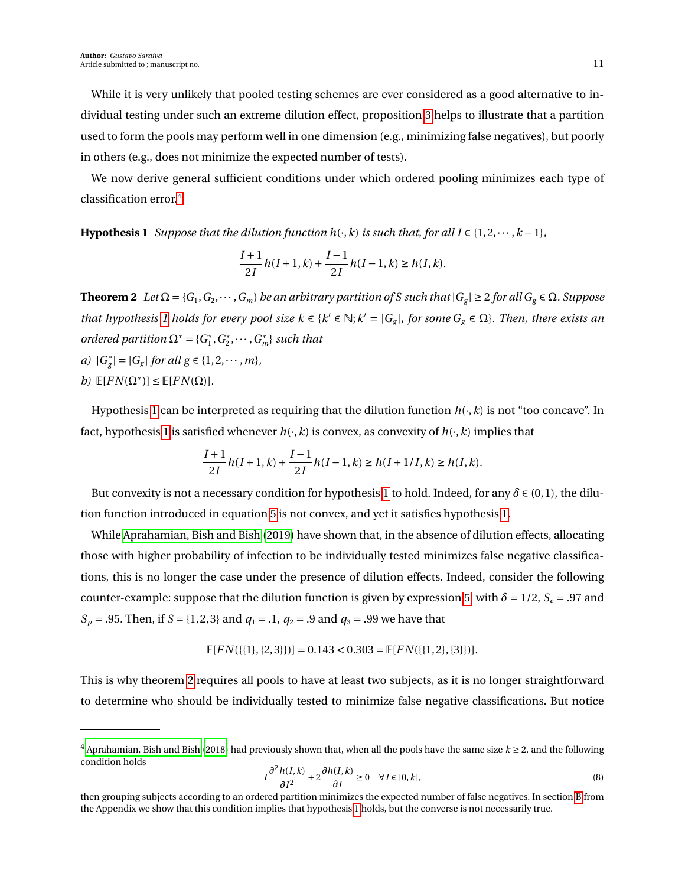While it is very unlikely that pooled testing schemes are ever considered as a good alternative to individual testing under such an extreme dilution effect, proposition [3](#page-9-0) helps to illustrate that a partition used to form the pools may perform well in one dimension (e.g., minimizing false negatives), but poorly in others (e.g., does not minimize the expected number of tests).

We now derive general sufficient conditions under which ordered pooling minimizes each type of classification error.[4](#page-10-0)

**Hypothesis 1** *Suppose that the dilution function h*( $\cdot$ *, k) is such that, for all I* ∈ {1,2,  $\cdots$  *, k* − 1}*,* 

<span id="page-10-1"></span>
$$
\frac{I+1}{2I}h(I+1,k) + \frac{I-1}{2I}h(I-1,k) \ge h(I,k).
$$

**Theorem 2** *Let*  $\Omega = \{G_1, G_2, \dots, G_m\}$  *be an arbitrary partition of S such that*  $|G_g| \ge 2$  *for all*  $G_g \in \Omega$ *. Suppose that hypothesis 1 holds for every pool size*  $k \in \{k' \in \mathbb{N}; k' = |G_g|, \text{ for some } G_g \in \Omega\}$ *. Then, there exists an ordered partition*  $\Omega^* = \{G_1^*\}$  $i_1^*, G_2^*$  $C_2^*, \cdots, G_m^*$  *such that a)* |*G* ∗  $g|g| = |G_g|$  *for all*  $g \in \{1, 2, \dots, m\}$ *, b*)  $\mathbb{E}[FN(\Omega^*)] \leq \mathbb{E}[FN(\Omega)].$ 

Hypothesis [1](#page-10-1) can be interpreted as requiring that the dilution function  $h(\cdot,k)$  is not "too concave". In fact, hypothesis [1](#page-10-1) is satisfied whenever  $h(\cdot, k)$  is convex, as convexity of  $h(\cdot, k)$  implies that

$$
\frac{I+1}{2I}h(I+1,k) + \frac{I-1}{2I}h(I-1,k) \ge h(I+1/I,k) \ge h(I,k).
$$

But convexity is not a necessary condition for hypothesis [1](#page-10-1) to hold. Indeed, for any  $\delta \in (0,1)$ , the dilution function introduced in equation [5](#page-7-3) is not convex, and yet it satisfies hypothesis [1.](#page-10-1)

While [Aprahamian, Bish and Bish](#page-26-2) [\(2019\)](#page-26-2) have shown that, in the absence of dilution effects, allocating those with higher probability of infection to be individually tested minimizes false negative classifications, this is no longer the case under the presence of dilution effects. Indeed, consider the following counter-example: suppose that the dilution function is given by expression [5,](#page-7-3) with  $\delta = 1/2$ ,  $S_e = .97$  and *S*<sub>*p*</sub> = .95. Then, if *S* = {1, 2, 3} and *q*<sub>1</sub> = .1, *q*<sub>2</sub> = .9 and *q*<sub>3</sub> = .99 we have that

$$
\mathbb{E}[FN(\{\{1\},\{2,3\}\})] = 0.143 < 0.303 = \mathbb{E}[FN(\{\{1,2\},\{3\}\})].
$$

This is why theorem [2](#page-11-0) requires all pools to have at least two subjects, as it is no longer straightforward to determine who should be individually tested to minimize false negative classifications. But notice

$$
I\frac{\partial^2 h(I,k)}{\partial I^2} + 2\frac{\partial h(I,k)}{\partial I} \ge 0 \quad \forall I \in [0,k],\tag{8}
$$

<span id="page-10-0"></span> $4$  [Aprahamian, Bish and Bish](#page-26-4) [\(2018\)](#page-26-4) had previously shown that, when all the pools have the same size  $k \ge 2$ , and the following condition holds

then grouping subjects according to an ordered partition minimizes the expected number of false negatives. In section [B](#page-3-0) from the Appendix we show that this condition implies that hypothesis [1](#page-10-1) holds, but the converse is not necessarily true.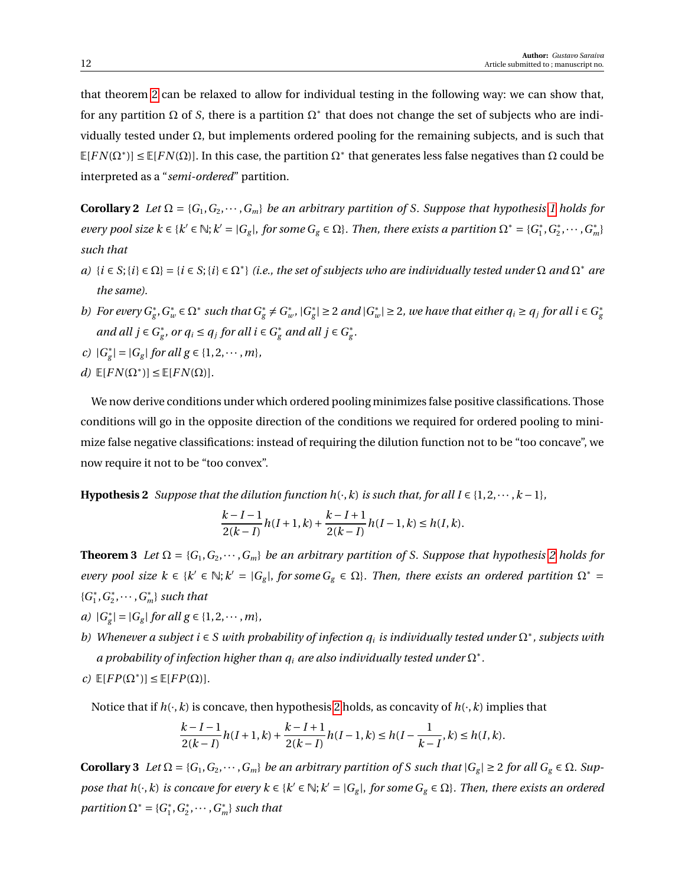that theorem [2](#page-11-0) can be relaxed to allow for individual testing in the following way: we can show that, for any partition  $\Omega$  of *S*, there is a partition  $\Omega^*$  that does not change the set of subjects who are individually tested under Ω, but implements ordered pooling for the remaining subjects, and is such that  $E[FN(\Omega^*)] \le E[FN(\Omega)]$ . In this case, the partition  $\Omega^*$  that generates less false negatives than  $\Omega$  could be interpreted as a "*semi-ordered*" partition.

<span id="page-11-0"></span>**Corollary 2** *Let*  $\Omega = \{G_1, G_2, \dots, G_m\}$  *be an arbitrary partition of S. Suppose that hypothesis 1 holds for every pool size*  $k \in \{k' \in \mathbb{N}; k' = |G_g|, \text{ for some } G_g \in \Omega\}$ . Then, there exists a partition  $\Omega^* = \{G_1^*\}$  $f_1^*, G_2^*$  $C_{2}^{*}, \cdots, G_{m}^{*}$ *such that*

- $a)$  { $i \in S$ ; { $i$ } ∈  $\Omega$ } = { $i \in S$ ; { $i$ } ∈  $\Omega^*$ } *(i.e., the set of subjects who are individually tested under*  $\Omega$  *and*  $\Omega^*$  *are the same).*
- *b*) *For every*  $G_g^*$ ,  $G_w^* \in \Omega^*$  *such that*  $G_g^* \neq G_u^*$ *w ,* |*G* ∗  $|g|$  ≥ 2 *and*  $|G_u^*|$  $|w| \geq 2$ , we have that either  $q_i \geq q_j$  for all  $i \in G_g^*$ *g and all*  $j \in G^*_{\varrho}$  $g<sup>∗</sup>$ , or  $q<sub>i</sub> ≤ q<sub>j</sub>$  for all  $i ∈ G_g^*$  and all  $j ∈ G_g^*$ *g .*
- *c)* |*G* ∗  $g|g| = |G_g|$  *for all*  $g \in \{1, 2, \dots, m\}$ *,*
- $d)$   $\mathbb{E}[FN(\Omega^*)] \leq \mathbb{E}[FN(\Omega)].$

We now derive conditions under which ordered pooling minimizes false positive classifications. Those conditions will go in the opposite direction of the conditions we required for ordered pooling to minimize false negative classifications: instead of requiring the dilution function not to be "too concave", we now require it not to be "too convex".

<span id="page-11-1"></span>**Hypothesis 2** *Suppose that the dilution function h*( $\cdot$ *, k) is such that, for all I* ∈ {1,2,  $\cdots$  *, k* − 1}*,* 

$$
\frac{k-I-1}{2(k-I)}h(I+1,k)+\frac{k-I+1}{2(k-I)}h(I-1,k)\leq h(I,k).
$$

<span id="page-11-2"></span>**Theorem 3** *Let*  $\Omega = \{G_1, G_2, \dots, G_m\}$  *be an arbitrary partition of S. Suppose that hypothesis* [2](#page-11-1) *holds for every pool size*  $k \in \{k' \in \mathbb{N}; k' = |G_g|, \text{ for some } G_g \in \Omega\}$ . Then, there exists an ordered partition  $\Omega^* =$ {*G* ∗  $_1^*, G_2^*$  $C_2^*, \cdots, G_m^*$  *such that* 

- *a*)  $|G^*_{\varrho}|$  $g_{g}^{*}| = |G_{g}|$  *for all*  $g \in \{1, 2, \cdots, m\}$ *,*
- *b) Whenever a subject i* ∈ *S with probability of infection q<sup>i</sup> is individually tested under* Ω<sup>∗</sup> *, subjects with* a probability of infection higher than  $q_i$  are also individually tested under  $\Omega^*$  .
- $c)$   $\mathbb{E}[FP(\Omega^*)] \leq \mathbb{E}[FP(\Omega)].$

Notice that if  $h(\cdot, k)$  is concave, then hypothesis [2](#page-11-1) holds, as concavity of  $h(\cdot, k)$  implies that

$$
\frac{k-I-1}{2(k-I)}h(I+1,k)+\frac{k-I+1}{2(k-I)}h(I-1,k)\leq h(I-\frac{1}{k-I},k)\leq h(I,k).
$$

<span id="page-11-3"></span>**Corollary 3** *Let* Ω = { $G_1, G_2, \cdots, G_m$ } *be an arbitrary partition of S such that*  $|G_g| \ge 2$  *for all*  $G_g \in \Omega$ *. Suppose that h*( $\cdot$ ,*k*) *is concave for every k*  $\in$  { $k' \in \mathbb{N}$ ;  $k' = |G_g|$ , *for some*  $G_g \in \Omega$ }. Then, there exists an ordered *partition*  $\Omega^* = \{G_1^*\}$  $i_1^*, G_2^*$  $\{a_2^*, \cdots, G_m^*\}$  *such that*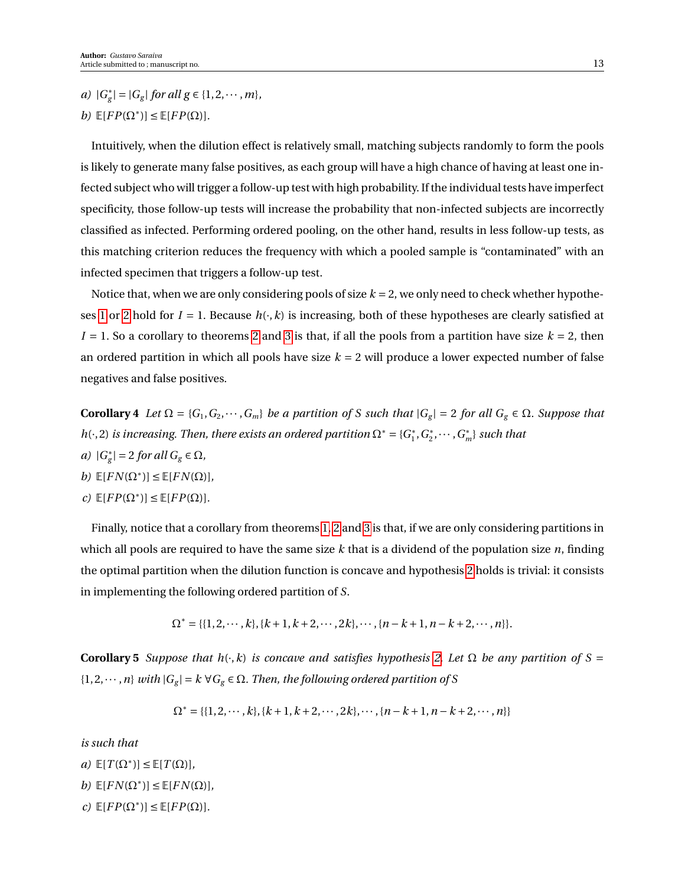*a)* |*G* ∗  $g_{g}^{*}| = |G_{g}|$  *for all g*  $\in \{1, 2, \cdots, m\}$ *, b*)  $\mathbb{E}[FP(\Omega^*)] \leq \mathbb{E}[FP(\Omega)].$ 

Intuitively, when the dilution effect is relatively small, matching subjects randomly to form the pools is likely to generate many false positives, as each group will have a high chance of having at least one infected subject who will trigger a follow-up test with high probability. If the individual tests have imperfect specificity, those follow-up tests will increase the probability that non-infected subjects are incorrectly classified as infected. Performing ordered pooling, on the other hand, results in less follow-up tests, as this matching criterion reduces the frequency with which a pooled sample is "contaminated" with an infected specimen that triggers a follow-up test.

Notice that, when we are only considering pools of size  $k = 2$ , we only need to check whether hypothe-ses [1](#page-10-1) or [2](#page-11-1) hold for  $I = 1$ . Because  $h(\cdot, k)$  is increasing, both of these hypotheses are clearly satisfied at  $I = 1$ . So a corollary to theorems [2](#page-11-0) and [3](#page-11-2) is that, if all the pools from a partition have size  $k = 2$ , then an ordered partition in which all pools have size  $k = 2$  will produce a lower expected number of false negatives and false positives.

**Corollary 4** *Let*  $\Omega = \{G_1, G_2, \dots, G_m\}$  *be a partition of S such that*  $|G_g| = 2$  *for all*  $G_g \in \Omega$ *. Suppose that h*( $\cdot$ , 2) *is increasing. Then, there exists an ordered partition*  $\Omega^* = \{G_1^*\}$  $i_1^*, G_2^*$  $C_2^*, \cdots, G_m^*$  *such that a)* |*G* ∗  $|g| = 2$  *for all*  $G_g \in \Omega$ *,*  $b)$   $\mathbb{E}[FN(\Omega^*)] \leq \mathbb{E}[FN(\Omega)],$ 

 $c)$   $\mathbb{E}[FP(\Omega^*)] \leq \mathbb{E}[FP(\Omega)].$ 

Finally, notice that a corollary from theorems [1,](#page-6-1) [2](#page-11-0) and [3](#page-11-2) is that, if we are only considering partitions in which all pools are required to have the same size *k* that is a dividend of the population size *n*, finding the optimal partition when the dilution function is concave and hypothesis [2](#page-11-1) holds is trivial: it consists in implementing the following ordered partition of *S*.

$$
\Omega^* = \{ \{1, 2, \cdots, k\}, \{k+1, k+2, \cdots, 2k\}, \cdots, \{n-k+1, n-k+2, \cdots, n\} \}.
$$

<span id="page-12-0"></span>**Corollary 5** *Suppose that*  $h(\cdot, k)$  *is concave and satisfies hypothesis* [2.](#page-11-1) Let  $\Omega$  *be any partition of*  $S =$  $\{1, 2, \dots, n\}$  *with*  $|G_g| = k \ \forall G_g \in \Omega$ . Then, the following ordered partition of S

$$
\Omega^* = \{ \{1, 2, \cdots, k\}, \{k+1, k+2, \cdots, 2k\}, \cdots, \{n-k+1, n-k+2, \cdots, n\} \}
$$

*is such that*

 $a)$   $\mathbb{E}[T(\Omega^*)] \leq \mathbb{E}[T(\Omega)],$  $b)$   $\mathbb{E}[FN(\Omega^*)] \leq \mathbb{E}[FN(\Omega)],$  $c)$   $\mathbb{E}[FP(\Omega^*)] \leq \mathbb{E}[FP(\Omega)].$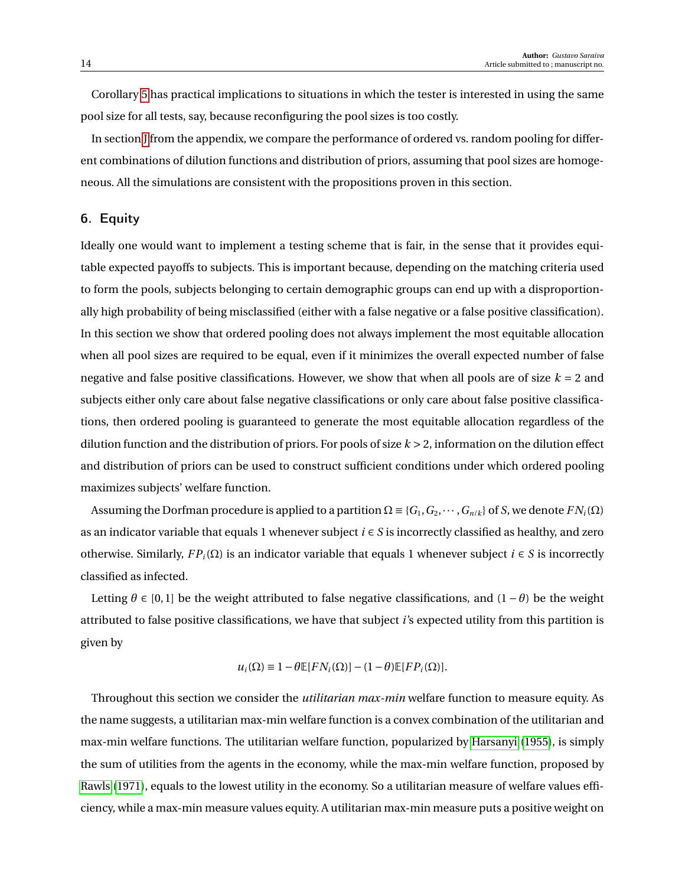Corollary [5](#page-12-0) has practical implications to situations in which the tester is interested in using the same pool size for all tests, say, because reconfiguring the pool sizes is too costly.

In section [J](#page-0-0) from the appendix, we compare the performance of ordered vs. random pooling for different combinations of dilution functions and distribution of priors, assuming that pool sizes are homogeneous. All the simulations are consistent with the propositions proven in this section.

## 6. Equity

Ideally one would want to implement a testing scheme that is fair, in the sense that it provides equitable expected payoffs to subjects. This is important because, depending on the matching criteria used to form the pools, subjects belonging to certain demographic groups can end up with a disproportionally high probability of being misclassified (either with a false negative or a false positive classification). In this section we show that ordered pooling does not always implement the most equitable allocation when all pool sizes are required to be equal, even if it minimizes the overall expected number of false negative and false positive classifications. However, we show that when all pools are of size  $k = 2$  and subjects either only care about false negative classifications or only care about false positive classifications, then ordered pooling is guaranteed to generate the most equitable allocation regardless of the dilution function and the distribution of priors. For pools of size *k* > 2, information on the dilution effect and distribution of priors can be used to construct sufficient conditions under which ordered pooling maximizes subjects' welfare function.

Assuming the Dorfman procedure is applied to a partition  $\Omega = \{G_1, G_2, \dots, G_{n/k}\}\$  of *S*, we denote  $FN_i(\Omega)$ as an indicator variable that equals 1 whenever subject *i* ∈ *S* is incorrectly classified as healthy, and zero otherwise. Similarly,  $FP_i(\Omega)$  is an indicator variable that equals 1 whenever subject  $i \in S$  is incorrectly classified as infected.

Letting  $\theta$  ∈ [0, 1] be the weight attributed to false negative classifications, and (1 −  $\theta$ ) be the weight attributed to false positive classifications, we have that subject *i*'s expected utility from this partition is given by

$$
u_i(\Omega) \equiv 1 - \theta \mathbb{E}[FN_i(\Omega)] - (1 - \theta)\mathbb{E}[FP_i(\Omega)].
$$

Throughout this section we consider the *utilitarian max-min* welfare function to measure equity. As the name suggests, a utilitarian max-min welfare function is a convex combination of the utilitarian and max-min welfare functions. The utilitarian welfare function, popularized by [Harsanyi](#page-27-11) [\(1955\)](#page-27-11), is simply the sum of utilities from the agents in the economy, while the max-min welfare function, proposed by [Rawls](#page-28-8) [\(1971\)](#page-28-8), equals to the lowest utility in the economy. So a utilitarian measure of welfare values efficiency, while a max-min measure values equity. A utilitarian max-min measure puts a positive weight on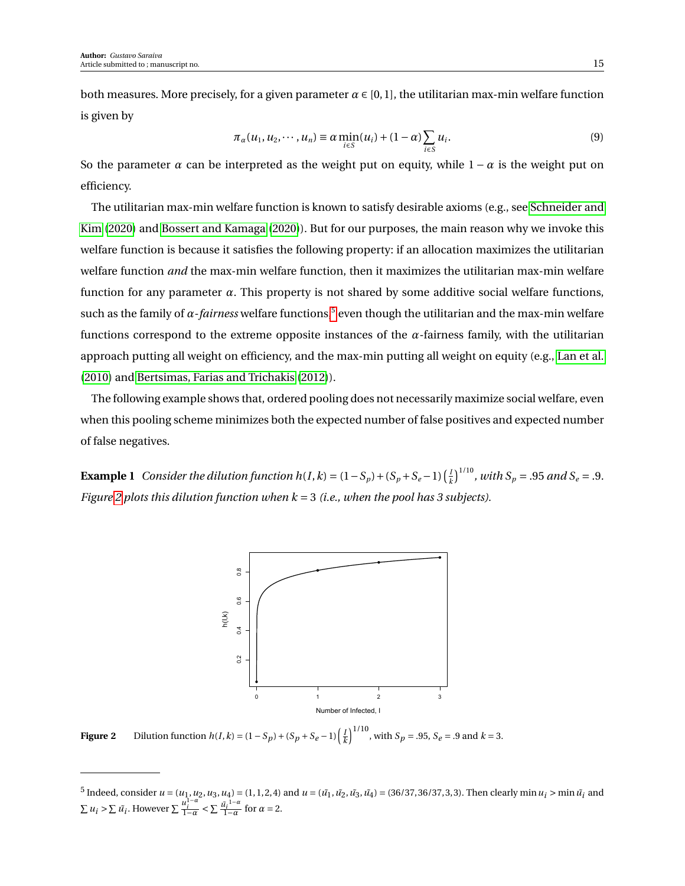both measures. More precisely, for a given parameter  $\alpha \in [0,1]$ , the utilitarian max-min welfare function is given by

<span id="page-14-2"></span>
$$
\pi_{\alpha}(u_1, u_2, \cdots, u_n) \equiv \alpha \min_{i \in S} (u_i) + (1 - \alpha) \sum_{i \in S} u_i.
$$
\n(9)

So the parameter  $\alpha$  can be interpreted as the weight put on equity, while  $1 - \alpha$  is the weight put on efficiency.

The utilitarian max-min welfare function is known to satisfy desirable axioms (e.g., see [Schneider and](#page-28-9) [Kim](#page-28-9) [\(2020\)](#page-28-9) and [Bossert and Kamaga](#page-26-6) [\(2020\)](#page-26-6)). But for our purposes, the main reason why we invoke this welfare function is because it satisfies the following property: if an allocation maximizes the utilitarian welfare function *and* the max-min welfare function, then it maximizes the utilitarian max-min welfare function for any parameter *α*. This property is not shared by some additive social welfare functions, such as the family of *α-fairness* welfare functions,<sup>[5](#page-14-0)</sup> even though the utilitarian and the max-min welfare functions correspond to the extreme opposite instances of the *α*-fairness family, with the utilitarian approach putting all weight on efficiency, and the max-min putting all weight on equity (e.g., [Lan et al.](#page-27-12) [\(2010\)](#page-27-12) and [Bertsimas, Farias and Trichakis](#page-26-7) [\(2012\)](#page-26-7)).

The following example shows that, ordered pooling does not necessarily maximize social welfare, even when this pooling scheme minimizes both the expected number of false positives and expected number of false negatives.

<span id="page-14-1"></span>**Example 1** *Consider the dilution function h*(*I*, *k*) =  $(1 - S_p) + (S_p + S_e - 1)$  $\left(\frac{1}{k}\right)$  $\int_{k}^{I}$ <sup>1/10</sup>, with S<sub>p</sub> = .95 and S<sub>e</sub> = .9. *Figure [2](#page-14-1) plots this dilution function when k* = 3 *(i.e., when the pool has 3 subjects).*



**Figure 2** Dilution function  $h(I, k) = (1 - S_p) + (S_p + S_e - 1) \left(\frac{I}{k}\right)^{1/10}$ , with  $S_p = .95$ ,  $S_e = .9$  and  $k = 3$ .

<span id="page-14-0"></span><sup>&</sup>lt;sup>5</sup> Indeed, consider  $u = (u_1, u_2, u_3, u_4) = (1, 1, 2, 4)$  and  $u = (\tilde{u_1}, \tilde{u_2}, \tilde{u_3}, \tilde{u_4}) = (36/37, 36/37, 3, 3)$ . Then clearly min  $u_i > \min \tilde{u_i}$  and  $\sum u_i > \sum \tilde{u_i}$ . However  $\sum \frac{u_i^{1-\alpha}}{1-\alpha} < \sum \frac{\tilde{u_i}^{1-\alpha}}{1-\alpha}$  $\frac{l_i^{1-\alpha}}{1-\alpha}$  for  $\alpha = 2$ .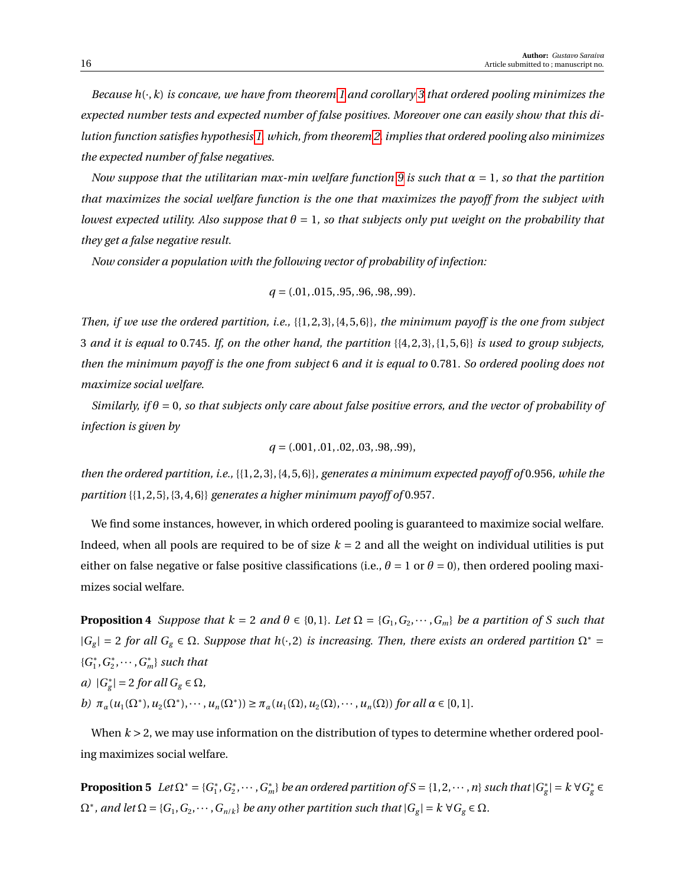*Because h*(·,*k*) *is concave, we have from theorem [1](#page-6-1) and corollary [3](#page-11-3) that ordered pooling minimizes the expected number tests and expected number of false positives. Moreover one can easily show that this dilution function satisfies hypothesis [1,](#page-10-1) which, from theorem [2,](#page-11-0) implies that ordered pooling also minimizes the expected number of false negatives.*

*Now suppose that the utilitarian max-min welfare function* [9](#page-14-2) *is such that*  $\alpha = 1$ *, so that the partition that maximizes the social welfare function is the one that maximizes the payoff from the subject with lowest expected utility. Also suppose that*  $\theta = 1$ *, so that subjects only put weight on the probability that they get a false negative result.*

*Now consider a population with the following vector of probability of infection:*

$$
q = (.01, .015, .95, .96, .98, .99).
$$

*Then, if we use the ordered partition, i.e.,* {{1, 2, 3}, {4, 5, 6}}*, the minimum payoff is the one from subject* 3 *and it is equal to* 0.745*. If, on the other hand, the partition* {{4, 2, 3}, {1, 5, 6}} *is used to group subjects, then the minimum payoff is the one from subject* 6 *and it is equal to* 0.781*. So ordered pooling does not maximize social welfare.*

*Similarly, if θ* = 0*, so that subjects only care about false positive errors, and the vector of probability of infection is given by*

$$
q = (.001, .01, .02, .03, .98, .99),
$$

*then the ordered partition, i.e.,* {{1, 2, 3}, {4, 5, 6}}*, generates a minimum expected payoff of* 0.956*, while the partition* {{1, 2, 5}, {3, 4, 6}} *generates a higher minimum payoff of* 0.957*.*

We find some instances, however, in which ordered pooling is guaranteed to maximize social welfare. Indeed, when all pools are required to be of size  $k = 2$  and all the weight on individual utilities is put either on false negative or false positive classifications (i.e.,  $\theta = 1$  or  $\theta = 0$ ), then ordered pooling maximizes social welfare.

**Proposition 4** *Suppose that*  $k = 2$  *and*  $\theta \in \{0, 1\}$ *. Let*  $\Omega = \{G_1, G_2, \dots, G_m\}$  *be a partition of S such that* |*G<sup>g</sup>* | = 2 *for all G<sup>g</sup>* ∈ Ω*. Suppose that h*(·, 2) *is increasing. Then, there exists an ordered partition* Ω<sup>∗</sup> = {*G* ∗  $_1^*, G_2^*$  $C_2^*, \cdots, G_m^*$  *such that* 

*a)* |*G* ∗  $|g| = 2$  *for all*  $G_g \in \Omega$ *,* 

 $b)$   $\pi_{\alpha}(u_1(\Omega^*), u_2(\Omega^*), \cdots, u_n(\Omega^*)) \ge \pi_{\alpha}(u_1(\Omega), u_2(\Omega), \cdots, u_n(\Omega))$  *for all*  $\alpha \in [0, 1]$ *.* 

When  $k > 2$ , we may use information on the distribution of types to determine whether ordered pooling maximizes social welfare.

<span id="page-15-0"></span>**Proposition 5**  $Let \Omega^* = \{G_1^*\}$  $_1^*, G_2^*$  $C_2^*, \cdots$  ,  $G_m^*$ } *be an ordered partition of S* = {1, 2,  $\cdots$  , *n*} *such that*  $|G_g^*|$  $g<sup>*</sup>$ <sup>\*</sup> $| = k \forall G<sup>*</sup>$ <sub>g</sub> ∈  $\Omega^*$ , and let  $\Omega = \{G_1, G_2, \cdots, G_{n/k}\}$  be any other partition such that  $|G_g| = k \ \forall G_g \in \Omega$ .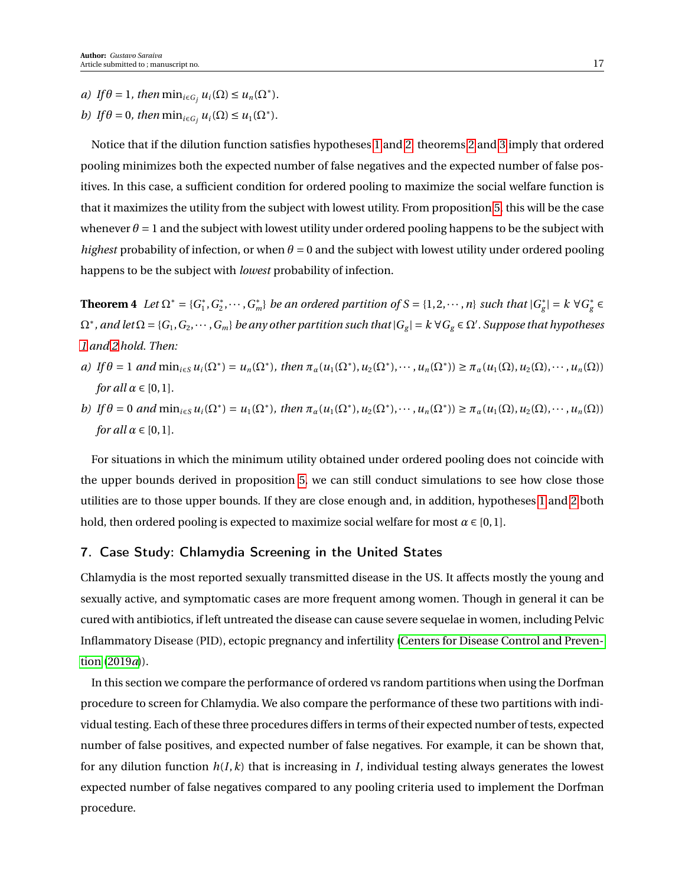*a) If*  $\theta = 1$ *, then*  $\min_{i \in G_j} u_i(\Omega) \leq u_n(\Omega^*).$ 

*b) If*  $\theta = 0$ *, then*  $\min_{i \in G_j} u_i(\Omega) \leq u_1(\Omega^*)$ *.* 

Notice that if the dilution function satisfies hypotheses [1](#page-10-1) and [2,](#page-11-1) theorems [2](#page-11-0) and [3](#page-11-2) imply that ordered pooling minimizes both the expected number of false negatives and the expected number of false positives. In this case, a sufficient condition for ordered pooling to maximize the social welfare function is that it maximizes the utility from the subject with lowest utility. From proposition [5,](#page-15-0) this will be the case whenever  $\theta = 1$  and the subject with lowest utility under ordered pooling happens to be the subject with *highest* probability of infection, or when  $\theta = 0$  and the subject with lowest utility under ordered pooling happens to be the subject with *lowest* probability of infection.

**Theorem 4** *Let*  $\Omega^* = \{G_1^*\}$ 1 ,*G* ∗  $\{C_2^*, \cdots, C_m^*\}$  *be an ordered partition of*  $S = \{1, 2, \cdots, n\}$  *such that*  $|G_g^*|$  $|g|$ <sup>\*</sup><sub>g</sub> ∈ *k* ∀ *G*<sup>\*</sup><sub>g</sub> ∈  $\Omega^*$ , and let  $\Omega = \{G_1, G_2, \cdots, G_m\}$  be any other partition such that  $|G_g| = k \ \forall G_g \in \Omega'$ . Suppose that hypotheses *[1](#page-10-1) and [2](#page-11-1) hold. Then:*

- a) If  $\theta = 1$  and  $\min_{i \in S} u_i(\Omega^*) = u_n(\Omega^*)$ , then  $\pi_\alpha(u_1(\Omega^*), u_2(\Omega^*), \dots, u_n(\Omega^*)) \ge \pi_\alpha(u_1(\Omega), u_2(\Omega), \dots, u_n(\Omega))$ *for all*  $\alpha \in [0, 1]$ *.*
- b) If  $\theta = 0$  and  $\min_{i \in S} u_i(\Omega^*) = u_1(\Omega^*)$ , then  $\pi_\alpha(u_1(\Omega^*), u_2(\Omega^*), \dots, u_n(\Omega^*)) \ge \pi_\alpha(u_1(\Omega), u_2(\Omega), \dots, u_n(\Omega))$ *for all*  $\alpha \in [0, 1]$ *.*

For situations in which the minimum utility obtained under ordered pooling does not coincide with the upper bounds derived in proposition [5,](#page-15-0) we can still conduct simulations to see how close those utilities are to those upper bounds. If they are close enough and, in addition, hypotheses [1](#page-10-1) and [2](#page-11-1) both hold, then ordered pooling is expected to maximize social welfare for most  $\alpha \in [0,1]$ .

## <span id="page-16-0"></span>7. Case Study: Chlamydia Screening in the United States

Chlamydia is the most reported sexually transmitted disease in the US. It affects mostly the young and sexually active, and symptomatic cases are more frequent among women. Though in general it can be cured with antibiotics, if left untreated the disease can cause severe sequelae in women, including Pelvic Inflammatory Disease (PID), ectopic pregnancy and infertility [\(Centers for Disease Control and Preven](#page-26-8)[tion](#page-26-8) [\(2019](#page-26-8)*a*)).

<span id="page-16-1"></span>In this section we compare the performance of ordered vs random partitions when using the Dorfman procedure to screen for Chlamydia. We also compare the performance of these two partitions with individual testing. Each of these three procedures differs in terms of their expected number of tests, expected number of false positives, and expected number of false negatives. For example, it can be shown that, for any dilution function  $h(I, k)$  that is increasing in *I*, individual testing always generates the lowest expected number of false negatives compared to any pooling criteria used to implement the Dorfman procedure.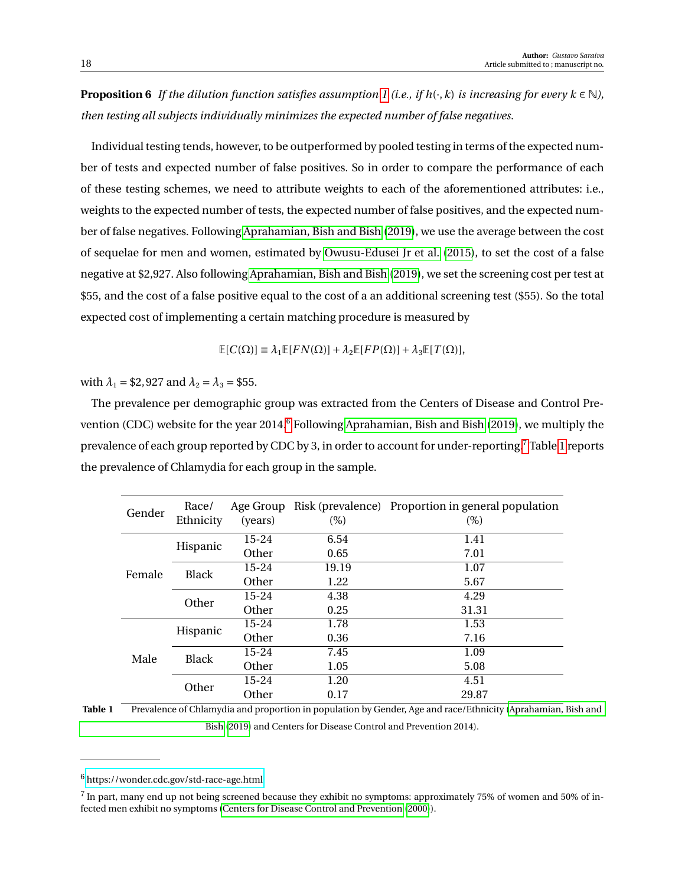**Proposition 6** *If the dilution function satisfies assumption* [1](#page-5-0) (*i.e., if h*( $\cdot$ ,*k*) *is increasing for every k*  $\in$  N), *then testing all subjects individually minimizes the expected number of false negatives.*

Individual testing tends, however, to be outperformed by pooled testing in terms of the expected number of tests and expected number of false positives. So in order to compare the performance of each of these testing schemes, we need to attribute weights to each of the aforementioned attributes: i.e., weights to the expected number of tests, the expected number of false positives, and the expected number of false negatives. Following [Aprahamian, Bish and Bish](#page-26-2) [\(2019\)](#page-26-2), we use the average between the cost of sequelae for men and women, estimated by [Owusu-Edusei Jr et al.](#page-28-10) [\(2015\)](#page-28-10), to set the cost of a false negative at \$2,927. Also following [Aprahamian, Bish and Bish](#page-26-2) [\(2019\)](#page-26-2), we set the screening cost per test at \$55, and the cost of a false positive equal to the cost of a an additional screening test (\$55). So the total expected cost of implementing a certain matching procedure is measured by

 $\mathbb{E}[C(\Omega)] \equiv \lambda_1 \mathbb{E}[FN(\Omega)] + \lambda_2 \mathbb{E}[FP(\Omega)] + \lambda_3 \mathbb{E}[T(\Omega)],$ 

with  $\lambda_1 = $2,927$  and  $\lambda_2 = \lambda_3 = $55$ .

The prevalence per demographic group was extracted from the Centers of Disease and Control Pre-vention (CDC) website for the year 2014.<sup>[6](#page-17-0)</sup> Following [Aprahamian, Bish and Bish](#page-26-2) [\(2019\)](#page-26-2), we multiply the prevalence of each group reported by CDC by 3, in order to account for under-reporting.[7](#page-17-1) Table [1](#page-17-2) reports the prevalence of Chlamydia for each group in the sample.

<span id="page-17-2"></span>

| Gender | Race/<br>Ethnicity | (years)   | $(\%)$ | Age Group Risk (prevalence) Proportion in general population<br>$(\%)$ |
|--------|--------------------|-----------|--------|------------------------------------------------------------------------|
| Female | Hispanic           | $15 - 24$ | 6.54   | 1.41                                                                   |
|        |                    | Other     | 0.65   | 7.01                                                                   |
|        | <b>Black</b>       | $15 - 24$ | 19.19  | 1.07                                                                   |
|        |                    | Other     | 1.22   | 5.67                                                                   |
|        | Other              | $15 - 24$ | 4.38   | 4.29                                                                   |
|        |                    | Other     | 0.25   | 31.31                                                                  |
| Male   | Hispanic           | $15 - 24$ | 1.78   | 1.53                                                                   |
|        |                    | Other     | 0.36   | 7.16                                                                   |
|        | <b>Black</b>       | 15-24     | 7.45   | 1.09                                                                   |
|        |                    | Other     | 1.05   | 5.08                                                                   |
|        | Other              | $15 - 24$ | 1.20   | 4.51                                                                   |
|        |                    | Other     | 0.17   | 29.87                                                                  |

**Table 1** Prevalence of Chlamydia and proportion in population by Gender, Age and race/Ethnicity [\(Aprahamian, Bish and](#page-26-2) [Bish](#page-26-2) [\(2019\)](#page-26-2) and Centers for Disease Control and Prevention 2014).

<span id="page-17-0"></span><sup>6</sup> <https://wonder.cdc.gov/std-race-age.html>

<span id="page-17-1"></span> $^7$  In part, many end up not being screened because they exhibit no symptoms: approximately 75% of women and 50% of infected men exhibit no symptoms [\(Centers for Disease Control and Prevention](#page-26-9) [\(2000\)](#page-26-9)).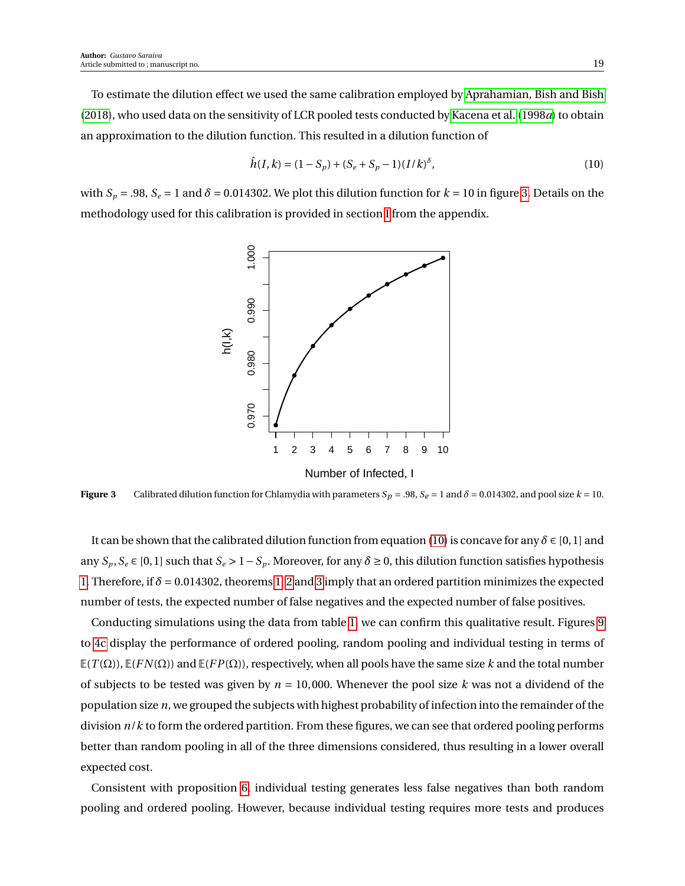To estimate the dilution effect we used the same calibration employed by [Aprahamian, Bish and Bish](#page-26-4) [\(2018\)](#page-26-4), who used data on the sensitivity of LCR pooled tests conducted by [Kacena et al.](#page-27-13) [\(1998](#page-27-13)*a*) to obtain an approximation to the dilution function. This resulted in a dilution function of

<span id="page-18-1"></span>
$$
\hat{h}(I,k) = (1 - S_p) + (S_e + S_p - 1)(I/k)^{\delta},\tag{10}
$$

<span id="page-18-0"></span>with  $S_p = .98$ ,  $S_e = 1$  and  $\delta = 0.014302$ . We plot this dilution function for  $k = 10$  in figure [3.](#page-18-0) Details on the methodology used for this calibration is provided in section [I](#page-25-0) from the appendix.



**Figure 3** Calibrated dilution function for Chlamydia with parameters  $S_p = .98$ ,  $S_e = 1$  and  $\delta = 0.014302$ , and pool size  $k = 10$ .

It can be shown that the calibrated dilution function from equation [\(10\)](#page-18-1) is concave for any  $\delta \in [0,1]$  and any  $S_p$ ,  $S_e \in [0,1]$  such that  $S_e > 1 - S_p$ . Moreover, for any  $\delta \ge 0$ , this dilution function satisfies hypothesis [1.](#page-10-1) Therefore, if *δ* = 0.014302, theorems [1,](#page-6-1) [2](#page-11-0) and [3](#page-11-2) imply that an ordered partition minimizes the expected number of tests, the expected number of false negatives and the expected number of false positives.

Conducting simulations using the data from table [1,](#page-17-2) we can confirm this qualitative result. Figures [9](#page-24-0) to [4c](#page-19-0) display the performance of ordered pooling, random pooling and individual testing in terms of  $E(T(\Omega))$ ,  $E(FN(\Omega))$  and  $E(FP(\Omega))$ , respectively, when all pools have the same size *k* and the total number of subjects to be tested was given by  $n = 10,000$ . Whenever the pool size  $k$  was not a dividend of the population size *n*, we grouped the subjects with highest probability of infection into the remainder of the division *n*/*k* to form the ordered partition. From these figures, we can see that ordered pooling performs better than random pooling in all of the three dimensions considered, thus resulting in a lower overall expected cost.

Consistent with proposition [6,](#page-16-1) individual testing generates less false negatives than both random pooling and ordered pooling. However, because individual testing requires more tests and produces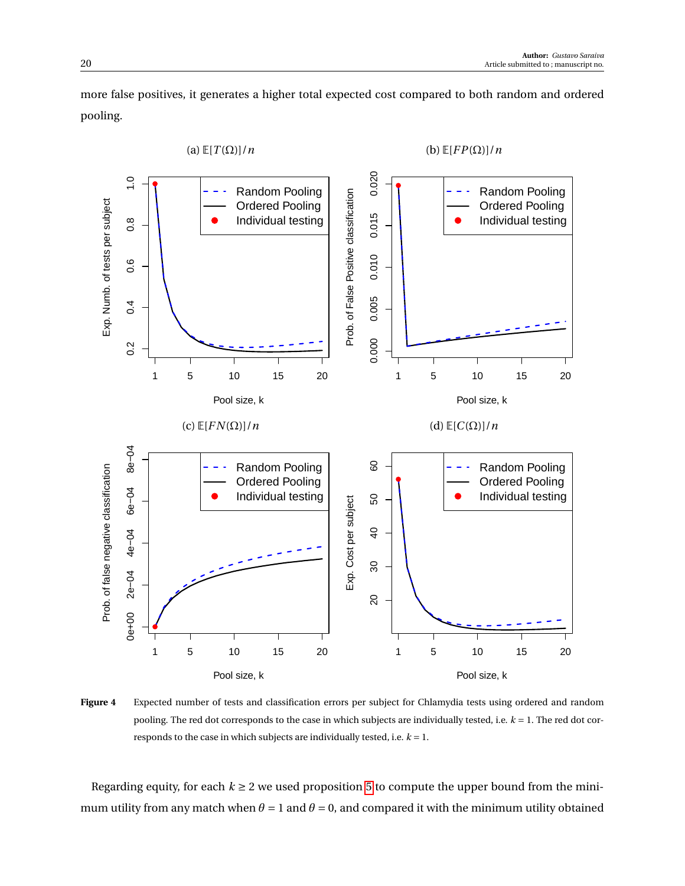more false positives, it generates a higher total expected cost compared to both random and ordered pooling.

<span id="page-19-0"></span>

**Figure 4** Expected number of tests and classification errors per subject for Chlamydia tests using ordered and random pooling. The red dot corresponds to the case in which subjects are individually tested, i.e. *k* = 1. The red dot corresponds to the case in which subjects are individually tested, i.e.  $k = 1$ .

Regarding equity, for each  $k \ge 2$  we used proposition [5](#page-15-0) to compute the upper bound from the minimum utility from any match when  $\theta = 1$  and  $\theta = 0$ , and compared it with the minimum utility obtained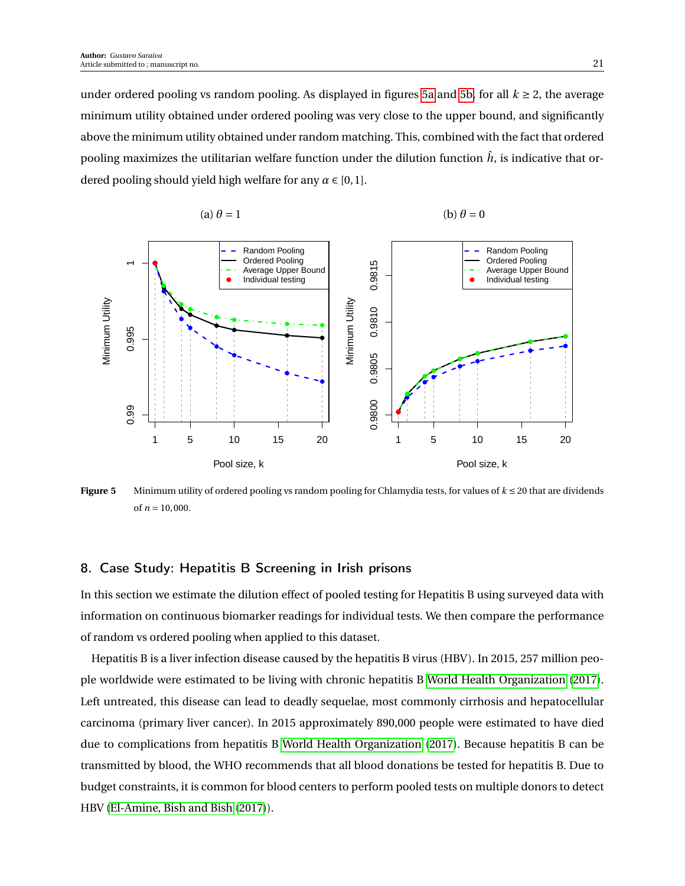under ordered pooling vs random pooling. As displayed in figures [5a](#page-20-0) and [5b,](#page-20-0) for all  $k \ge 2$ , the average minimum utility obtained under ordered pooling was very close to the upper bound, and significantly above the minimum utility obtained under random matching. This, combined with the fact that ordered pooling maximizes the utilitarian welfare function under the dilution function  $\hat{h}$ , is indicative that ordered pooling should yield high welfare for any  $\alpha \in [0, 1]$ .

(b)  $\theta = 0$ 

<span id="page-20-0"></span>

 $(a) \theta = 1$ 

**Figure 5** Minimum utility of ordered pooling vs random pooling for Chlamydia tests, for values of  $k \le 20$  that are dividends of  $n = 10,000$ .

## 8. Case Study: Hepatitis B Screening in Irish prisons

In this section we estimate the dilution effect of pooled testing for Hepatitis B using surveyed data with information on continuous biomarker readings for individual tests. We then compare the performance of random vs ordered pooling when applied to this dataset.

Hepatitis B is a liver infection disease caused by the hepatitis B virus (HBV). In 2015, 257 million people worldwide were estimated to be living with chronic hepatitis B [World Health Organization](#page-28-11) [\(2017\)](#page-28-11). Left untreated, this disease can lead to deadly sequelae, most commonly cirrhosis and hepatocellular carcinoma (primary liver cancer). In 2015 approximately 890,000 people were estimated to have died due to complications from hepatitis B [World Health Organization](#page-28-11) [\(2017\)](#page-28-11). Because hepatitis B can be transmitted by blood, the WHO recommends that all blood donations be tested for hepatitis B. Due to budget constraints, it is common for blood centers to perform pooled tests on multiple donors to detect HBV [\(El-Amine, Bish and Bish](#page-27-10) [\(2017\)](#page-27-10)).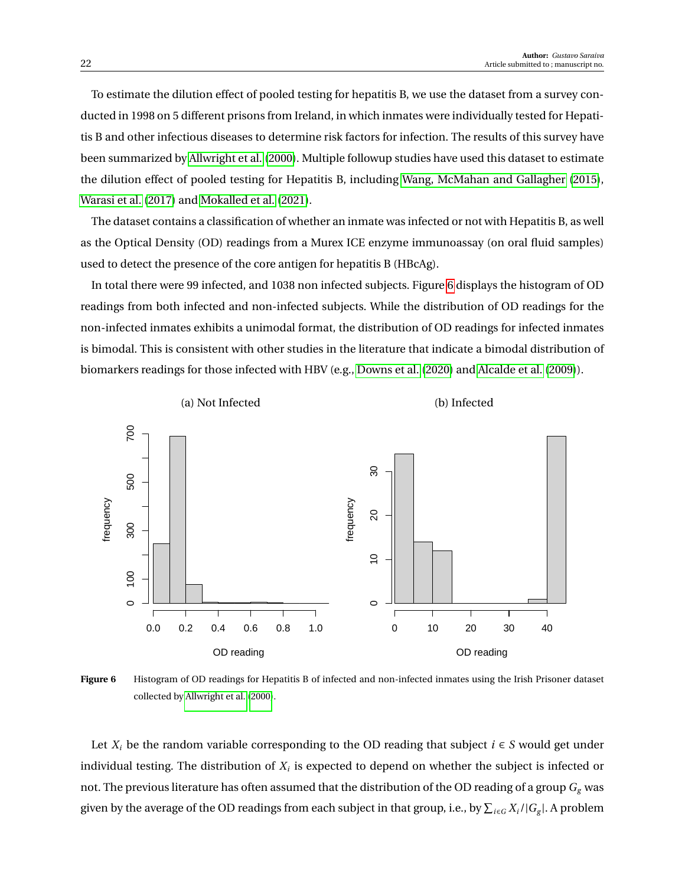To estimate the dilution effect of pooled testing for hepatitis B, we use the dataset from a survey conducted in 1998 on 5 different prisons from Ireland, in which inmates were individually tested for Hepatitis B and other infectious diseases to determine risk factors for infection. The results of this survey have been summarized by [Allwright et al.](#page-26-10) [\(2000\)](#page-26-10). Multiple followup studies have used this dataset to estimate the dilution effect of pooled testing for Hepatitis B, including [Wang, McMahan and Gallagher](#page-28-5) [\(2015\)](#page-28-5), [Warasi et al.](#page-28-6) [\(2017\)](#page-28-6) and [Mokalled et al.](#page-28-7) [\(2021\)](#page-28-7).

The dataset contains a classification of whether an inmate was infected or not with Hepatitis B, as well as the Optical Density (OD) readings from a Murex ICE enzyme immunoassay (on oral fluid samples) used to detect the presence of the core antigen for hepatitis B (HBcAg).

In total there were 99 infected, and 1038 non infected subjects. Figure [6](#page-21-0) displays the histogram of OD readings from both infected and non-infected subjects. While the distribution of OD readings for the non-infected inmates exhibits a unimodal format, the distribution of OD readings for infected inmates is bimodal. This is consistent with other studies in the literature that indicate a bimodal distribution of biomarkers readings for those infected with HBV (e.g., [Downs et al.](#page-27-14) [\(2020\)](#page-27-14) and [Alcalde et al.](#page-26-11) [\(2009\)](#page-26-11)).

<span id="page-21-0"></span>

**Figure 6** Histogram of OD readings for Hepatitis B of infected and non-infected inmates using the Irish Prisoner dataset collected by [Allwright et al.](#page-26-10) [\(2000\)](#page-26-10).

Let  $X_i$  be the random variable corresponding to the OD reading that subject  $i \in S$  would get under individual testing. The distribution of  $X_i$  is expected to depend on whether the subject is infected or not. The previous literature has often assumed that the distribution of the OD reading of a group  $G_g$  was given by the average of the OD readings from each subject in that group, i.e., by  $\sum_{i\in G}X_i/|G_g|$ . A problem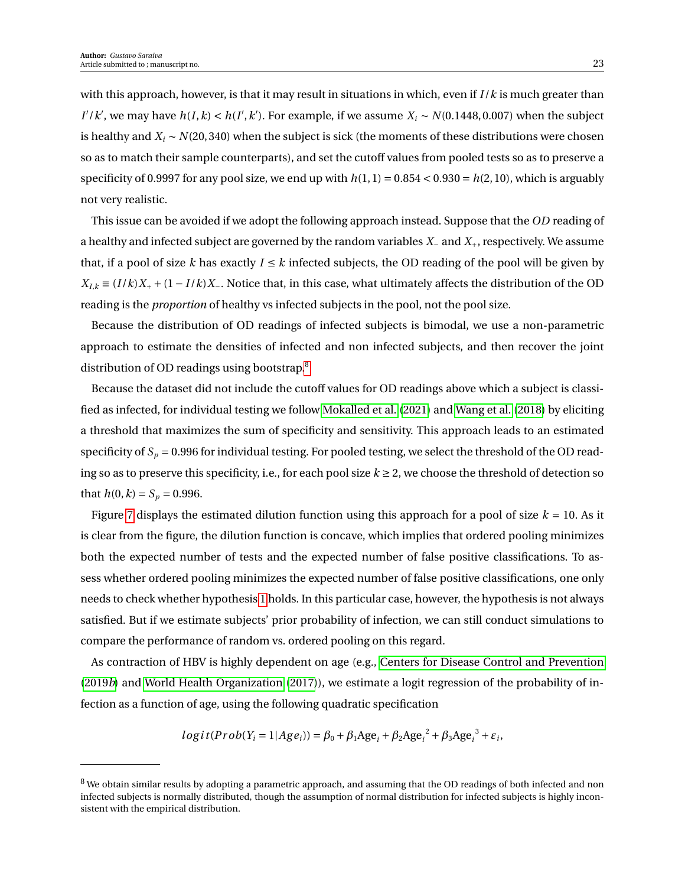with this approach, however, is that it may result in situations in which, even if *I* /*k* is much greater than *I'* / *k'*, we may have  $h(I, k) < h(I', k')$ . For example, if we assume  $X_i \sim N(0.1448, 0.007)$  when the subject is healthy and *X<sup>i</sup>* ∼ *N*(20, 340) when the subject is sick (the moments of these distributions were chosen so as to match their sample counterparts), and set the cutoff values from pooled tests so as to preserve a specificity of 0.9997 for any pool size, we end up with  $h(1, 1) = 0.854 < 0.930 = h(2, 10)$ , which is arguably not very realistic.

This issue can be avoided if we adopt the following approach instead. Suppose that the *OD* reading of a healthy and infected subject are governed by the random variables *X*<sup>−</sup> and *X*+, respectively. We assume that, if a pool of size *k* has exactly  $I \le k$  infected subjects, the OD reading of the pool will be given by  $X_{I,k} \equiv (I/k)X_+ + (1 - I/k)X_+$ . Notice that, in this case, what ultimately affects the distribution of the OD reading is the *proportion* of healthy vs infected subjects in the pool, not the pool size.

Because the distribution of OD readings of infected subjects is bimodal, we use a non-parametric approach to estimate the densities of infected and non infected subjects, and then recover the joint distribution of OD readings using bootstrap.[8](#page-22-0)

Because the dataset did not include the cutoff values for OD readings above which a subject is classified as infected, for individual testing we follow [Mokalled et al.](#page-28-7) [\(2021\)](#page-28-7) and [Wang et al.](#page-28-12) [\(2018\)](#page-28-12) by eliciting a threshold that maximizes the sum of specificity and sensitivity. This approach leads to an estimated specificity of  $S_p = 0.996$  for individual testing. For pooled testing, we select the threshold of the OD reading so as to preserve this specificity, i.e., for each pool size  $k \ge 2$ , we choose the threshold of detection so that  $h(0, k) = S_p = 0.996$ .

Figure [7](#page-23-0) displays the estimated dilution function using this approach for a pool of size  $k = 10$ . As it is clear from the figure, the dilution function is concave, which implies that ordered pooling minimizes both the expected number of tests and the expected number of false positive classifications. To assess whether ordered pooling minimizes the expected number of false positive classifications, one only needs to check whether hypothesis [1](#page-10-1) holds. In this particular case, however, the hypothesis is not always satisfied. But if we estimate subjects' prior probability of infection, we can still conduct simulations to compare the performance of random vs. ordered pooling on this regard.

As contraction of HBV is highly dependent on age (e.g., [Centers for Disease Control and Prevention](#page-26-12) [\(2019](#page-26-12)*b*) and [World Health Organization](#page-28-11) [\(2017\)](#page-28-11)), we estimate a logit regression of the probability of infection as a function of age, using the following quadratic specification

$$
logit(Prob(Y_i = 1 | Age_i)) = \beta_0 + \beta_1 Age_i + \beta_2 Age_i^2 + \beta_3 Age_i^3 + \varepsilon_i,
$$

<span id="page-22-0"></span> $8$  We obtain similar results by adopting a parametric approach, and assuming that the OD readings of both infected and non infected subjects is normally distributed, though the assumption of normal distribution for infected subjects is highly inconsistent with the empirical distribution.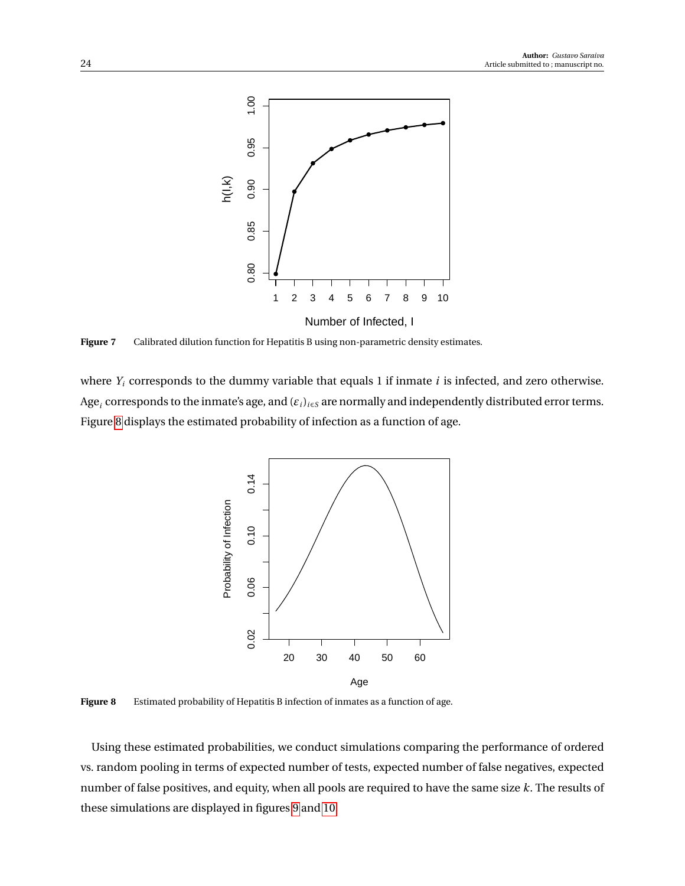<span id="page-23-0"></span>

Figure 7 Calibrated dilution function for Hepatitis B using non-parametric density estimates.

<span id="page-23-1"></span>where *Y<sup>i</sup>* corresponds to the dummy variable that equals 1 if inmate *i* is infected, and zero otherwise. Age*<sup>i</sup>* corresponds to the inmate's age, and (*εi*)*i*∈*<sup>S</sup>* are normally and independently distributed error terms. Figure [8](#page-23-1) displays the estimated probability of infection as a function of age.



Figure 8 Estimated probability of Hepatitis B infection of inmates as a function of age.

Using these estimated probabilities, we conduct simulations comparing the performance of ordered vs. random pooling in terms of expected number of tests, expected number of false negatives, expected number of false positives, and equity, when all pools are required to have the same size *k*. The results of these simulations are displayed in figures [9](#page-24-0) and [10.](#page-25-1)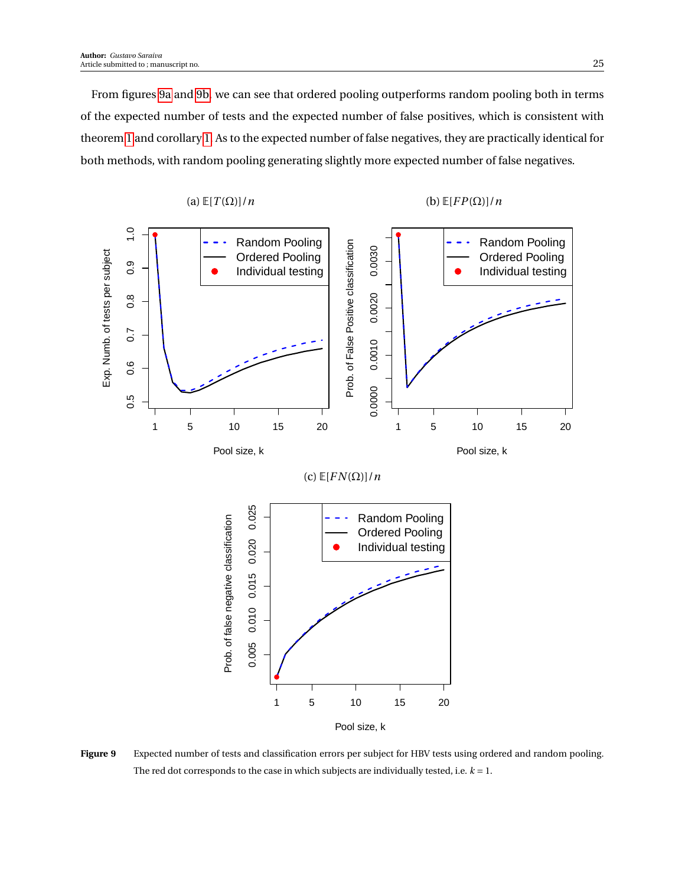From figures [9a](#page-24-0) and [9b,](#page-24-0) we can see that ordered pooling outperforms random pooling both in terms of the expected number of tests and the expected number of false positives, which is consistent with theorem [1](#page-6-1) and corollary [1.](#page-7-4) As to the expected number of false negatives, they are practically identical for both methods, with random pooling generating slightly more expected number of false negatives.

<span id="page-24-0"></span>

**Figure 9** Expected number of tests and classification errors per subject for HBV tests using ordered and random pooling. The red dot corresponds to the case in which subjects are individually tested, i.e.  $k = 1$ .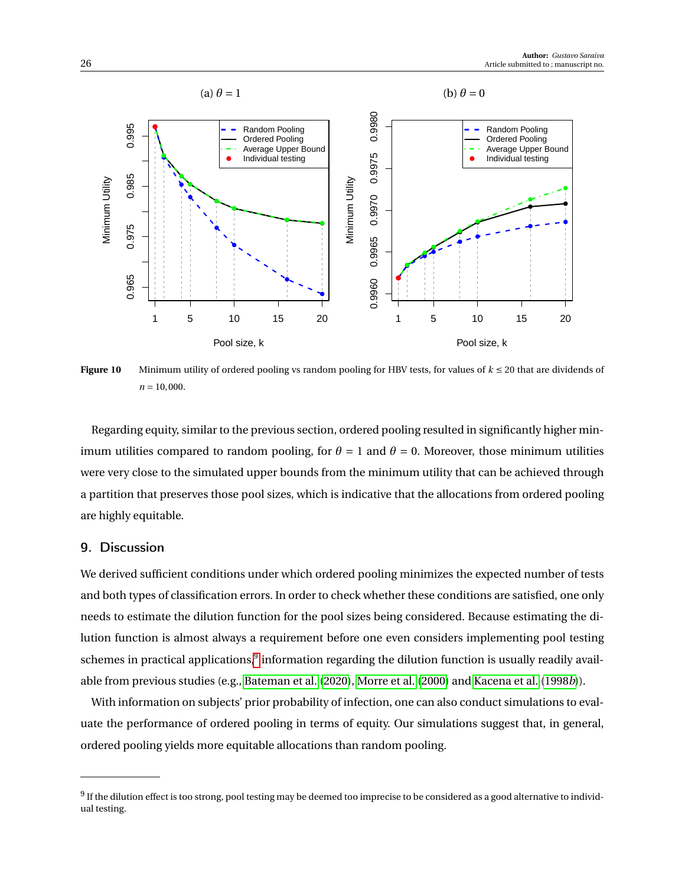<span id="page-25-1"></span>

**Figure 10** Minimum utility of ordered pooling vs random pooling for HBV tests, for values of *k* ≤ 20 that are dividends of  $n = 10,000$ .

Regarding equity, similar to the previous section, ordered pooling resulted in significantly higher minimum utilities compared to random pooling, for  $\theta = 1$  and  $\theta = 0$ . Moreover, those minimum utilities were very close to the simulated upper bounds from the minimum utility that can be achieved through a partition that preserves those pool sizes, which is indicative that the allocations from ordered pooling are highly equitable.

# <span id="page-25-0"></span>9. Discussion

We derived sufficient conditions under which ordered pooling minimizes the expected number of tests and both types of classification errors. In order to check whether these conditions are satisfied, one only needs to estimate the dilution function for the pool sizes being considered. Because estimating the dilution function is almost always a requirement before one even considers implementing pool testing schemes in practical applications, $^9$  $^9$  information regarding the dilution function is usually readily available from previous studies (e.g., [Bateman et al.](#page-26-1) [\(2020\)](#page-26-1), [Morre et al.](#page-28-2) [\(2000\)](#page-28-2) and [Kacena et al.](#page-27-7) [\(1998](#page-27-7)*b*)).

With information on subjects' prior probability of infection, one can also conduct simulations to evaluate the performance of ordered pooling in terms of equity. Our simulations suggest that, in general, ordered pooling yields more equitable allocations than random pooling.

<span id="page-25-2"></span> $^9$  If the dilution effect is too strong, pool testing may be deemed too imprecise to be considered as a good alternative to individual testing.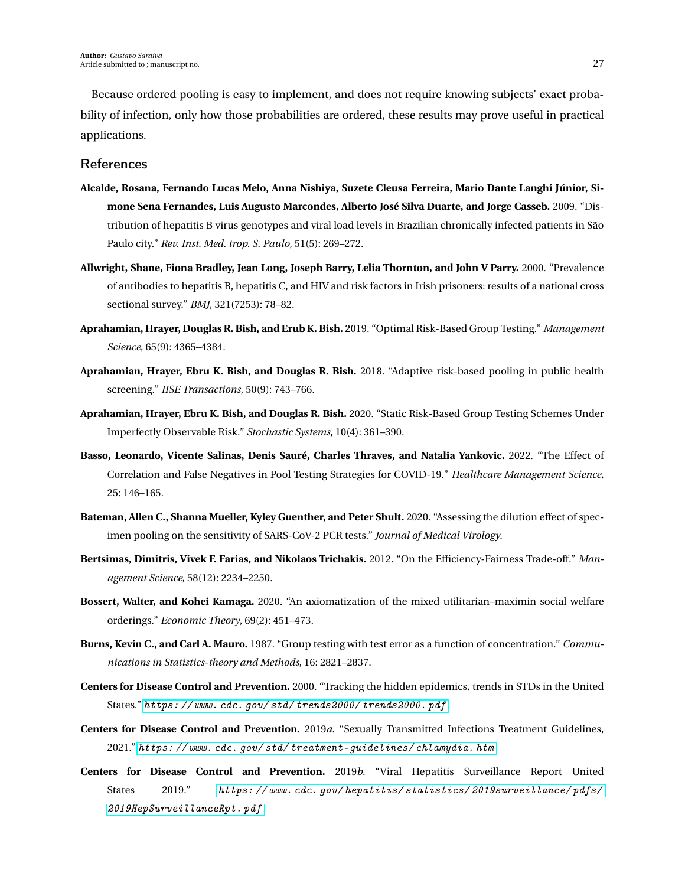Because ordered pooling is easy to implement, and does not require knowing subjects' exact probability of infection, only how those probabilities are ordered, these results may prove useful in practical applications.

#### References

- <span id="page-26-11"></span>**Alcalde, Rosana, Fernando Lucas Melo, Anna Nishiya, Suzete Cleusa Ferreira, Mario Dante Langhi Júnior, Simone Sena Fernandes, Luis Augusto Marcondes, Alberto José Silva Duarte, and Jorge Casseb.** 2009. "Distribution of hepatitis B virus genotypes and viral load levels in Brazilian chronically infected patients in São Paulo city." *Rev. Inst. Med. trop. S. Paulo*, 51(5): 269–272.
- <span id="page-26-10"></span>**Allwright, Shane, Fiona Bradley, Jean Long, Joseph Barry, Lelia Thornton, and John V Parry.** 2000. "Prevalence of antibodies to hepatitis B, hepatitis C, and HIV and risk factors in Irish prisoners: results of a national cross sectional survey." *BMJ*, 321(7253): 78–82.
- <span id="page-26-2"></span>**Aprahamian, Hrayer, Douglas R. Bish, and Erub K. Bish.** 2019. "Optimal Risk-Based Group Testing." *Management Science*, 65(9): 4365–4384.
- <span id="page-26-4"></span>**Aprahamian, Hrayer, Ebru K. Bish, and Douglas R. Bish.** 2018. "Adaptive risk-based pooling in public health screening." *IISE Transactions*, 50(9): 743–766.
- <span id="page-26-3"></span>**Aprahamian, Hrayer, Ebru K. Bish, and Douglas R. Bish.** 2020. "Static Risk-Based Group Testing Schemes Under Imperfectly Observable Risk." *Stochastic Systems*, 10(4): 361–390.
- <span id="page-26-0"></span>**Basso, Leonardo, Vicente Salinas, Denis Sauré, Charles Thraves, and Natalia Yankovic.** 2022. "The Effect of Correlation and False Negatives in Pool Testing Strategies for COVID-19." *Healthcare Management Science*, 25: 146–165.
- <span id="page-26-1"></span>**Bateman, Allen C., Shanna Mueller, Kyley Guenther, and Peter Shult.** 2020. "Assessing the dilution effect of specimen pooling on the sensitivity of SARS-CoV-2 PCR tests." *Journal of Medical Virology*.
- <span id="page-26-7"></span>**Bertsimas, Dimitris, Vivek F. Farias, and Nikolaos Trichakis.** 2012. "On the Efficiency-Fairness Trade-off." *Management Science*, 58(12): 2234–2250.
- <span id="page-26-6"></span>**Bossert, Walter, and Kohei Kamaga.** 2020. "An axiomatization of the mixed utilitarian–maximin social welfare orderings." *Economic Theory*, 69(2): 451–473.
- <span id="page-26-5"></span>**Burns, Kevin C., and Carl A. Mauro.** 1987. "Group testing with test error as a function of concentration." *Communications in Statistics-theory and Methods*, 16: 2821–2837.
- <span id="page-26-9"></span>**Centers for Disease Control and Prevention.** 2000. "Tracking the hidden epidemics, trends in STDs in the United States." [https: // www. cdc. gov/ std/ trends2000/ trends2000. pdf](https://www.cdc.gov/std/trends2000/trends2000.pdf) .
- <span id="page-26-8"></span>**Centers for Disease Control and Prevention.** 2019*a*. "Sexually Transmitted Infections Treatment Guidelines, 2021." [https: // www. cdc. gov/ std/ treatment-guidelines/ chlamydia. htm](https://www.cdc.gov/std/treatment-guidelines/chlamydia.htm) .
- <span id="page-26-12"></span>**Centers for Disease Control and Prevention.** 2019*b*. "Viral Hepatitis Surveillance Report United States 2019." [https: // www. cdc. gov/ hepatitis/ statistics/ 2019surveillance/ pdfs/](https://www.cdc.gov/hepatitis/statistics/2019surveillance/pdfs/2019HepSurveillanceRpt.pdf) [2019HepSurveillanceRpt. pdf](https://www.cdc.gov/hepatitis/statistics/2019surveillance/pdfs/2019HepSurveillanceRpt.pdf) .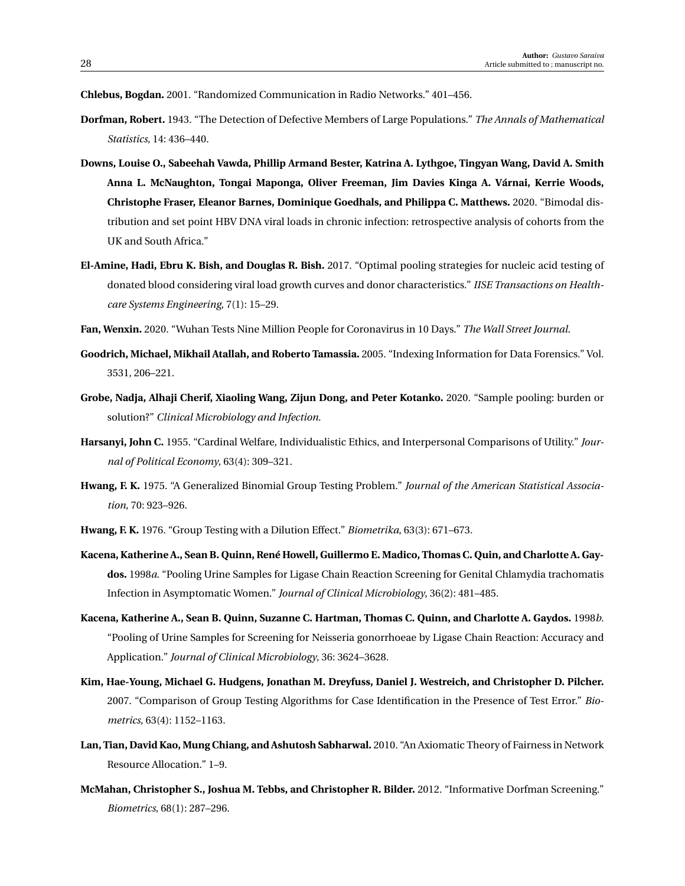<span id="page-27-3"></span>**Chlebus, Bogdan.** 2001. "Randomized Communication in Radio Networks." 401–456.

- <span id="page-27-0"></span>**Dorfman, Robert.** 1943. "The Detection of Defective Members of Large Populations." *The Annals of Mathematical Statistics*, 14: 436–440.
- <span id="page-27-14"></span>**Downs, Louise O., Sabeehah Vawda, Phillip Armand Bester, Katrina A. Lythgoe, Tingyan Wang, David A. Smith Anna L. McNaughton, Tongai Maponga, Oliver Freeman, Jim Davies Kinga A. Várnai, Kerrie Woods, Christophe Fraser, Eleanor Barnes, Dominique Goedhals, and Philippa C. Matthews.** 2020. "Bimodal distribution and set point HBV DNA viral loads in chronic infection: retrospective analysis of cohorts from the UK and South Africa."
- <span id="page-27-10"></span>**El-Amine, Hadi, Ebru K. Bish, and Douglas R. Bish.** 2017. "Optimal pooling strategies for nucleic acid testing of donated blood considering viral load growth curves and donor characteristics." *IISE Transactions on Healthcare Systems Engineering*, 7(1): 15–29.
- <span id="page-27-5"></span>**Fan, Wenxin.** 2020. "Wuhan Tests Nine Million People for Coronavirus in 10 Days." *The Wall Street Journal*.
- <span id="page-27-2"></span>**Goodrich, Michael, Mikhail Atallah, and Roberto Tamassia.** 2005. "Indexing Information for Data Forensics." Vol. 3531, 206–221.
- <span id="page-27-4"></span>**Grobe, Nadja, Alhaji Cherif, Xiaoling Wang, Zijun Dong, and Peter Kotanko.** 2020. "Sample pooling: burden or solution?" *Clinical Microbiology and Infection*.
- <span id="page-27-11"></span>**Harsanyi, John C.** 1955. "Cardinal Welfare, Individualistic Ethics, and Interpersonal Comparisons of Utility." *Journal of Political Economy*, 63(4): 309–321.
- <span id="page-27-8"></span>**Hwang, F. K.** 1975. "A Generalized Binomial Group Testing Problem." *Journal of the American Statistical Association*, 70: 923–926.
- <span id="page-27-9"></span>**Hwang, F. K.** 1976. "Group Testing with a Dilution Effect." *Biometrika*, 63(3): 671–673.
- <span id="page-27-13"></span>**Kacena, Katherine A., Sean B. Quinn, René Howell, Guillermo E. Madico, Thomas C. Quin, and Charlotte A. Gaydos.** 1998*a*. "Pooling Urine Samples for Ligase Chain Reaction Screening for Genital Chlamydia trachomatis Infection in Asymptomatic Women." *Journal of Clinical Microbiology*, 36(2): 481–485.
- <span id="page-27-7"></span>**Kacena, Katherine A., Sean B. Quinn, Suzanne C. Hartman, Thomas C. Quinn, and Charlotte A. Gaydos.** 1998*b*. "Pooling of Urine Samples for Screening for Neisseria gonorrhoeae by Ligase Chain Reaction: Accuracy and Application." *Journal of Clinical Microbiology*, 36: 3624–3628.
- <span id="page-27-6"></span>**Kim, Hae-Young, Michael G. Hudgens, Jonathan M. Dreyfuss, Daniel J. Westreich, and Christopher D. Pilcher.** 2007. "Comparison of Group Testing Algorithms for Case Identification in the Presence of Test Error." *Biometrics*, 63(4): 1152–1163.
- <span id="page-27-12"></span>**Lan, Tian, David Kao, Mung Chiang, and Ashutosh Sabharwal.** 2010. "An Axiomatic Theory of Fairness in Network Resource Allocation." 1–9.
- <span id="page-27-1"></span>**McMahan, Christopher S., Joshua M. Tebbs, and Christopher R. Bilder.** 2012. "Informative Dorfman Screening." *Biometrics*, 68(1): 287–296.